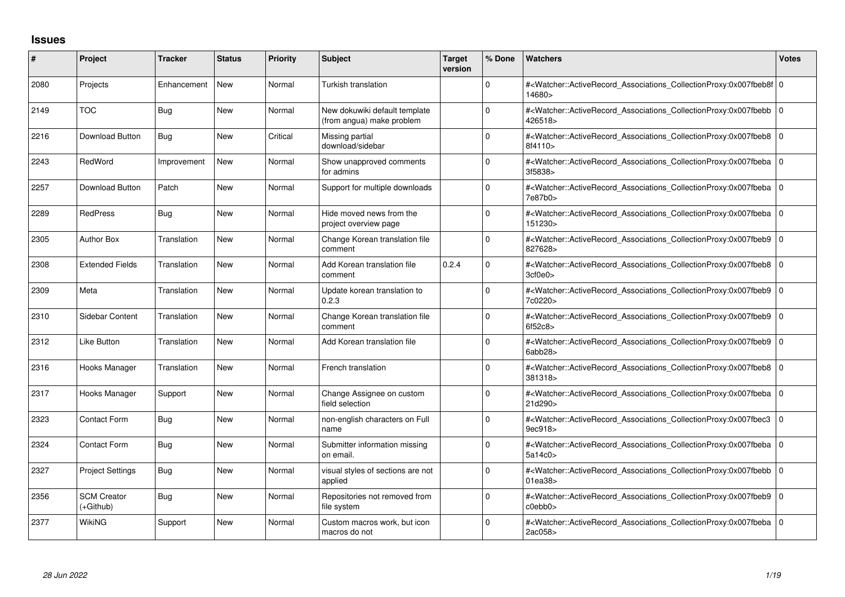## **Issues**

| #    | Project                         | <b>Tracker</b> | <b>Status</b> | Priority | <b>Subject</b>                                             | <b>Target</b><br>version | % Done       | <b>Watchers</b>                                                                                                                                          | <b>Votes</b> |
|------|---------------------------------|----------------|---------------|----------|------------------------------------------------------------|--------------------------|--------------|----------------------------------------------------------------------------------------------------------------------------------------------------------|--------------|
| 2080 | Projects                        | Enhancement    | New           | Normal   | Turkish translation                                        |                          | 0            | # <watcher::activerecord 0<br="" associations="" collectionproxy:0x007fbeb8f=""  ="">14680&gt;</watcher::activerecord>                                   |              |
| 2149 | <b>TOC</b>                      | <b>Bug</b>     | <b>New</b>    | Normal   | New dokuwiki default template<br>(from angua) make problem |                          | $\Omega$     | # <watcher::activerecord 0<br="" associations="" collectionproxy:0x007fbebb=""  ="">426518&gt;</watcher::activerecord>                                   |              |
| 2216 | Download Button                 | <b>Bug</b>     | <b>New</b>    | Critical | Missing partial<br>download/sidebar                        |                          | $\Omega$     | # <watcher::activerecord_associations_collectionproxy:0x007fbeb8 0<br=""  ="">8f4110&gt;</watcher::activerecord_associations_collectionproxy:0x007fbeb8> |              |
| 2243 | RedWord                         | Improvement    | <b>New</b>    | Normal   | Show unapproved comments<br>for admins                     |                          | <sup>0</sup> | # <watcher::activerecord 0<br="" associations="" collectionproxy:0x007fbeba=""  ="">3f5838&gt;</watcher::activerecord>                                   |              |
| 2257 | <b>Download Button</b>          | Patch          | <b>New</b>    | Normal   | Support for multiple downloads                             |                          | 0            | # <watcher::activerecord_associations_collectionproxy:0x007fbeba 0<br=""  ="">7e87b0&gt;</watcher::activerecord_associations_collectionproxy:0x007fbeba> |              |
| 2289 | <b>RedPress</b>                 | Bug            | <b>New</b>    | Normal   | Hide moved news from the<br>project overview page          |                          | <sup>0</sup> | # <watcher::activerecord_associations_collectionproxy:0x007fbeba 0<br="">151230&gt;</watcher::activerecord_associations_collectionproxy:0x007fbeba>      |              |
| 2305 | <b>Author Box</b>               | Translation    | <b>New</b>    | Normal   | Change Korean translation file<br>comment                  |                          | $\Omega$     | # <watcher::activerecord 0<br="" associations="" collectionproxy:0x007fbeb9=""  ="">827628&gt;</watcher::activerecord>                                   |              |
| 2308 | <b>Extended Fields</b>          | Translation    | <b>New</b>    | Normal   | Add Korean translation file<br>comment                     | 0.2.4                    | 0            | # <watcher::activerecord_associations_collectionproxy:0x007fbeb8 0<br=""  ="">3cf0e0</watcher::activerecord_associations_collectionproxy:0x007fbeb8>     |              |
| 2309 | Meta                            | Translation    | <b>New</b>    | Normal   | Update korean translation to<br>0.2.3                      |                          | $\Omega$     | # <watcher::activerecord 0<br="" associations="" collectionproxy:0x007fbeb9=""  ="">7c0220&gt;</watcher::activerecord>                                   |              |
| 2310 | Sidebar Content                 | Translation    | <b>New</b>    | Normal   | Change Korean translation file<br>comment                  |                          | $\Omega$     | # <watcher::activerecord_associations_collectionproxy:0x007fbeb9 0<br="">6f52c8</watcher::activerecord_associations_collectionproxy:0x007fbeb9>          |              |
| 2312 | Like Button                     | Translation    | <b>New</b>    | Normal   | Add Korean translation file                                |                          | $\Omega$     | # <watcher::activerecord 0<br="" associations="" collectionproxy:0x007fbeb9=""  ="">6abb28&gt;</watcher::activerecord>                                   |              |
| 2316 | Hooks Manager                   | Translation    | <b>New</b>    | Normal   | French translation                                         |                          | $\Omega$     | # <watcher::activerecord_associations_collectionproxy:0x007fbeb8 0<br="">381318&gt;</watcher::activerecord_associations_collectionproxy:0x007fbeb8>      |              |
| 2317 | Hooks Manager                   | Support        | <b>New</b>    | Normal   | Change Assignee on custom<br>field selection               |                          | $\Omega$     | # <watcher::activerecord_associations_collectionproxy:0x007fbeba 0<br="">21d290&gt;</watcher::activerecord_associations_collectionproxy:0x007fbeba>      |              |
| 2323 | Contact Form                    | Bug            | <b>New</b>    | Normal   | non-english characters on Full<br>name                     |                          | $\Omega$     | # <watcher::activerecord_associations_collectionproxy:0x007fbec3 0<br=""  ="">9ec918&gt;</watcher::activerecord_associations_collectionproxy:0x007fbec3> |              |
| 2324 | Contact Form                    | <b>Bug</b>     | <b>New</b>    | Normal   | Submitter information missing<br>on email                  |                          | 0            | # <watcher::activerecord 0<br="" associations="" collectionproxy:0x007fbeba=""  ="">5a14c0&gt;</watcher::activerecord>                                   |              |
| 2327 | <b>Project Settings</b>         | Bug            | <b>New</b>    | Normal   | visual styles of sections are not<br>applied               |                          | 0            | # <watcher::activerecord_associations_collectionproxy:0x007fbebb 0<br=""  ="">01ea38&gt;</watcher::activerecord_associations_collectionproxy:0x007fbebb> |              |
| 2356 | <b>SCM Creator</b><br>(+Github) | Bug            | <b>New</b>    | Normal   | Repositories not removed from<br>file system               |                          | 0            | # <watcher::activerecord_associations_collectionproxy:0x007fbeb9 0<br="">c0ebb0&gt;</watcher::activerecord_associations_collectionproxy:0x007fbeb9>      |              |
| 2377 | WikiNG                          | Support        | <b>New</b>    | Normal   | Custom macros work, but icon<br>macros do not              |                          | $\Omega$     | # <watcher::activerecord 0<br="" associations="" collectionproxy:0x007fbeba=""  ="">2ac058&gt;</watcher::activerecord>                                   |              |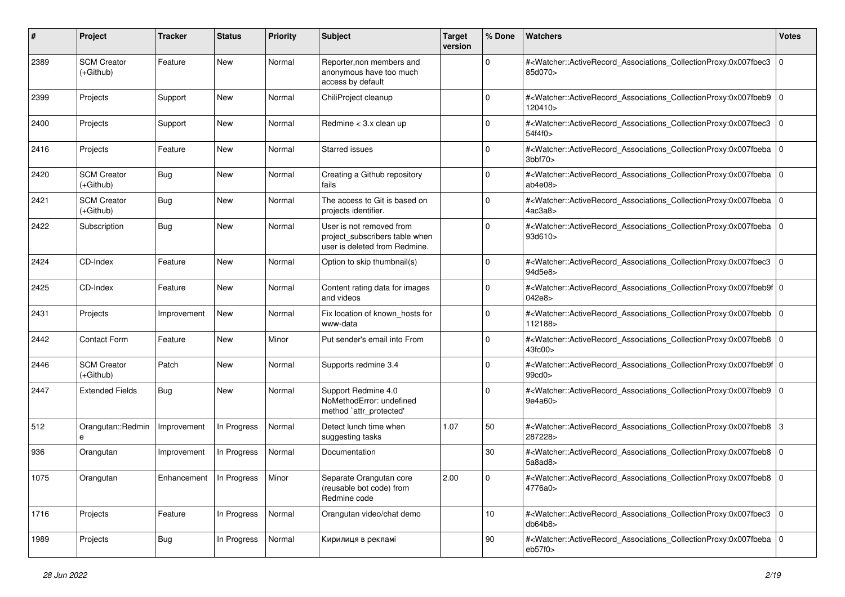| #    | Project                           | <b>Tracker</b>                    | <b>Status</b> | <b>Priority</b> | Subject                                                                                     | <b>Target</b><br>version | % Done          | Watchers                                                                                                                                                                  | <b>Votes</b> |
|------|-----------------------------------|-----------------------------------|---------------|-----------------|---------------------------------------------------------------------------------------------|--------------------------|-----------------|---------------------------------------------------------------------------------------------------------------------------------------------------------------------------|--------------|
| 2389 | <b>SCM Creator</b><br>$(+Github)$ | Feature                           | New           | Normal          | Reporter, non members and<br>anonymous have too much<br>access by default                   |                          | $\mathbf 0$     | # <watcher::activerecord_associations_collectionproxy:0x007fbec3<br>85d070&gt;</watcher::activerecord_associations_collectionproxy:0x007fbec3<br>                         | 0            |
| 2399 | Projects                          | Support                           | <b>New</b>    | Normal          | ChiliProject cleanup                                                                        |                          | $\mathbf 0$     | # <watcher::activerecord_associations_collectionproxy:0x007fbeb9 0<br="">120410&gt;</watcher::activerecord_associations_collectionproxy:0x007fbeb9>                       |              |
| 2400 | Projects                          | Support                           | New           | Normal          | Redmine $<$ 3.x clean up                                                                    |                          | $\Omega$        | # <watcher::activerecord_associations_collectionproxy:0x007fbec3<br>54f4f0&gt;</watcher::activerecord_associations_collectionproxy:0x007fbec3<br>                         | 0            |
| 2416 | Projects                          | Feature                           | New           | Normal          | Starred issues                                                                              |                          | 0               | # <watcher::activerecord_associations_collectionproxy:0x007fbeba 0<br=""  ="">3bbf70&gt;</watcher::activerecord_associations_collectionproxy:0x007fbeba>                  |              |
| 2420 | <b>SCM Creator</b><br>(+Github)   | <b>Bug</b>                        | New           | Normal          | Creating a Github repository<br>fails                                                       |                          | $\mathbf 0$     | # <watcher::activerecord_associations_collectionproxy:0x007fbeba 0<br=""  ="">ab4e08&gt;</watcher::activerecord_associations_collectionproxy:0x007fbeba>                  |              |
| 2421 | <b>SCM Creator</b><br>(+Github)   | <b>Bug</b>                        | <b>New</b>    | Normal          | The access to Git is based on<br>projects identifier.                                       |                          | $\Omega$        | # <watcher::activerecord_associations_collectionproxy:0x007fbeba 0<br=""  ="">4ac3a8</watcher::activerecord_associations_collectionproxy:0x007fbeba>                      |              |
| 2422 | Subscription                      | <b>Bug</b>                        | New           | Normal          | User is not removed from<br>project_subscribers table when<br>user is deleted from Redmine. |                          | $\Omega$        | # <watcher::activerecord_associations_collectionproxy:0x007fbeba 0<br=""  ="">93d610&gt;</watcher::activerecord_associations_collectionproxy:0x007fbeba>                  |              |
| 2424 | CD-Index                          | Feature                           | New           | Normal          | Option to skip thumbnail(s)                                                                 |                          | $\mathbf 0$     | # <watcher::activerecord_associations_collectionproxy:0x007fbec3<br>94d5e8&gt;</watcher::activerecord_associations_collectionproxy:0x007fbec3<br>                         | l O          |
| 2425 | CD-Index                          | Feature                           | <b>New</b>    | Normal          | Content rating data for images<br>and videos                                                |                          | $\Omega$        | # <watcher::activerecord_associations_collectionproxy:0x007fbeb9f 0<br="">042e8&gt;</watcher::activerecord_associations_collectionproxy:0x007fbeb9f>                      |              |
| 2431 | Projects                          | Improvement                       | New           | Normal          | Fix location of known_hosts for<br>www-data                                                 |                          | $\mathbf 0$     | # <watcher::activerecord_associations_collectionproxy:0x007fbebb<br>112188&gt;</watcher::activerecord_associations_collectionproxy:0x007fbebb<br>                         | l O          |
| 2442 | <b>Contact Form</b>               | Feature                           | <b>New</b>    | Minor           | Put sender's email into From                                                                |                          | $\Omega$        | # <watcher::activerecord_associations_collectionproxy:0x007fbeb8 0<br=""><math>43</math>fc<math>00</math></watcher::activerecord_associations_collectionproxy:0x007fbeb8> |              |
| 2446 | <b>SCM Creator</b><br>$(+Github)$ | Patch                             | New           | Normal          | Supports redmine 3.4                                                                        |                          | $\Omega$        | # <watcher::activerecord_associations_collectionproxy:0x007fbeb9f 0<br="">99cd0&gt;</watcher::activerecord_associations_collectionproxy:0x007fbeb9f>                      |              |
| 2447 | <b>Extended Fields</b>            | Bug                               | New           | Normal          | Support Redmine 4.0<br>NoMethodError: undefined<br>method `attr_protected'                  |                          | $\Omega$        | # <watcher::activerecord_associations_collectionproxy:0x007fbeb9 0<br=""  ="">9e4a60&gt;</watcher::activerecord_associations_collectionproxy:0x007fbeb9>                  |              |
| 512  | Orangutan::Redmin<br>е            | Improvement                       | In Progress   | Normal          | Detect lunch time when<br>suggesting tasks                                                  | 1.07                     | 50              | # <watcher::activerecord_associations_collectionproxy:0x007fbeb8 3<br="">287228&gt;</watcher::activerecord_associations_collectionproxy:0x007fbeb8>                       |              |
| 936  | Orangutan                         | Improvement                       | In Progress   | Normal          | Documentation                                                                               |                          | $30\,$          | # <watcher::activerecord_associations_collectionproxy:0x007fbeb8<br>5a8ad8&gt;</watcher::activerecord_associations_collectionproxy:0x007fbeb8<br>                         | l O          |
| 1075 | Orangutan                         | Enhancement   In Progress   Minor |               |                 | Separate Orangutan core<br>(reusable bot code) from<br>Redmine code                         | 2.00                     | 0               | # <watcher::activerecord_associations_collectionproxy:0x007fbeb8 0<br="">4776a0&gt;</watcher::activerecord_associations_collectionproxy:0x007fbeb8>                       |              |
| 1716 | Projects                          | Feature                           | In Progress   | Normal          | Orangutan video/chat demo                                                                   |                          | 10 <sup>1</sup> | # <watcher::activerecord_associations_collectionproxy:0x007fbec3 0<br="">db64b8</watcher::activerecord_associations_collectionproxy:0x007fbec3>                           |              |
| 1989 | Projects                          | Bug                               | In Progress   | Normal          | Кирилиця в рекламі                                                                          |                          | 90              | # <watcher::activerecord_associations_collectionproxy:0x007fbeba 0<br=""  ="">eb57f0&gt;</watcher::activerecord_associations_collectionproxy:0x007fbeba>                  |              |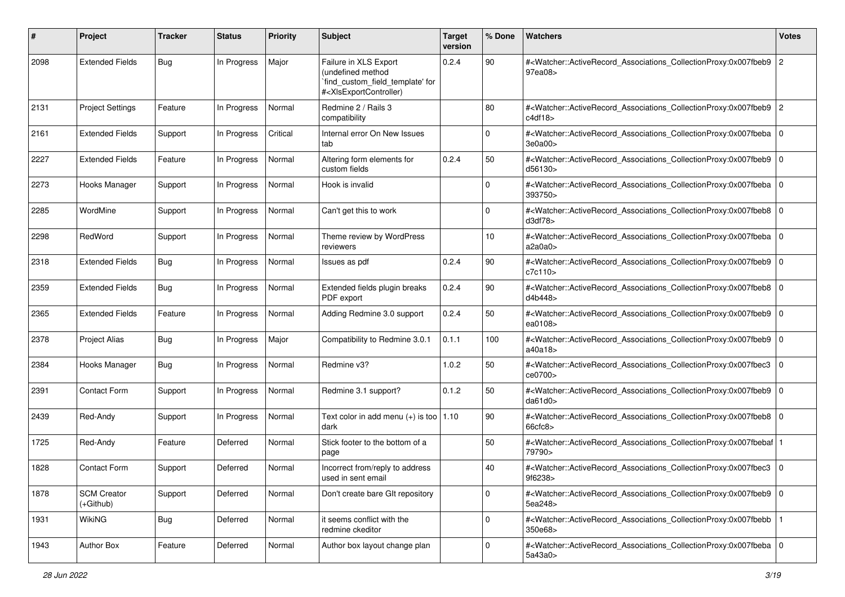| #    | Project                           | <b>Tracker</b> | <b>Status</b> | <b>Priority</b> | Subject                                                                                                                                                                                                                                                                                                                                                       | <b>Target</b><br>version | % Done      | Watchers                                                                                                                                                 | <b>Votes</b>   |
|------|-----------------------------------|----------------|---------------|-----------------|---------------------------------------------------------------------------------------------------------------------------------------------------------------------------------------------------------------------------------------------------------------------------------------------------------------------------------------------------------------|--------------------------|-------------|----------------------------------------------------------------------------------------------------------------------------------------------------------|----------------|
| 2098 | <b>Extended Fields</b>            | Bug            | In Progress   | Major           | Failure in XLS Export<br>(undefined method<br>`find_custom_field_template' for<br># <xlsexportcontroller)< td=""><td>0.2.4</td><td>90</td><td>#<watcher::activerecord_associations_collectionproxy:0x007fbeb9<br>97ea08&gt;</watcher::activerecord_associations_collectionproxy:0x007fbeb9<br></td><td><math>\overline{c}</math></td></xlsexportcontroller)<> | 0.2.4                    | 90          | # <watcher::activerecord_associations_collectionproxy:0x007fbeb9<br>97ea08&gt;</watcher::activerecord_associations_collectionproxy:0x007fbeb9<br>        | $\overline{c}$ |
| 2131 | <b>Project Settings</b>           | Feature        | In Progress   | Normal          | Redmine 2 / Rails 3<br>compatibility                                                                                                                                                                                                                                                                                                                          |                          | 80          | # <watcher::activerecord_associations_collectionproxy:0x007fbeb9 2<br="">c4df18&gt;</watcher::activerecord_associations_collectionproxy:0x007fbeb9>      |                |
| 2161 | <b>Extended Fields</b>            | Support        | In Progress   | Critical        | Internal error On New Issues<br>tab                                                                                                                                                                                                                                                                                                                           |                          | $\mathbf 0$ | # <watcher::activerecord_associations_collectionproxy:0x007fbeba 0<br="">3e0a00&gt;</watcher::activerecord_associations_collectionproxy:0x007fbeba>      |                |
| 2227 | <b>Extended Fields</b>            | Feature        | In Progress   | Normal          | Altering form elements for<br>custom fields                                                                                                                                                                                                                                                                                                                   | 0.2.4                    | 50          | # <watcher::activerecord_associations_collectionproxy:0x007fbeb9 0<br="">d56130&gt;</watcher::activerecord_associations_collectionproxy:0x007fbeb9>      |                |
| 2273 | Hooks Manager                     | Support        | In Progress   | Normal          | Hook is invalid                                                                                                                                                                                                                                                                                                                                               |                          | 0           | # <watcher::activerecord_associations_collectionproxy:0x007fbeba 0<br=""  ="">393750&gt;</watcher::activerecord_associations_collectionproxy:0x007fbeba> |                |
| 2285 | WordMine                          | Support        | In Progress   | Normal          | Can't get this to work                                                                                                                                                                                                                                                                                                                                        |                          | 0           | # <watcher::activerecord_associations_collectionproxy:0x007fbeb8 0<br=""  ="">d3df78&gt;</watcher::activerecord_associations_collectionproxy:0x007fbeb8> |                |
| 2298 | RedWord                           | Support        | In Progress   | Normal          | Theme review by WordPress<br>reviewers                                                                                                                                                                                                                                                                                                                        |                          | 10          | # <watcher::activerecord_associations_collectionproxy:0x007fbeba 0<br=""  ="">a2a0a0&gt;</watcher::activerecord_associations_collectionproxy:0x007fbeba> |                |
| 2318 | <b>Extended Fields</b>            | Bug            | In Progress   | Normal          | Issues as pdf                                                                                                                                                                                                                                                                                                                                                 | 0.2.4                    | 90          | # <watcher::activerecord_associations_collectionproxy:0x007fbeb9 0<br="">c7c110&gt;</watcher::activerecord_associations_collectionproxy:0x007fbeb9>      |                |
| 2359 | <b>Extended Fields</b>            | Bug            | In Progress   | Normal          | Extended fields plugin breaks<br>PDF export                                                                                                                                                                                                                                                                                                                   | 0.2.4                    | 90          | # <watcher::activerecord_associations_collectionproxy:0x007fbeb8 0<br="">d4b448&gt;</watcher::activerecord_associations_collectionproxy:0x007fbeb8>      |                |
| 2365 | <b>Extended Fields</b>            | Feature        | In Progress   | Normal          | Adding Redmine 3.0 support                                                                                                                                                                                                                                                                                                                                    | 0.2.4                    | 50          | # <watcher::activerecord_associations_collectionproxy:0x007fbeb9 0<br="">ea0108&gt;</watcher::activerecord_associations_collectionproxy:0x007fbeb9>      |                |
| 2378 | <b>Project Alias</b>              | Bug            | In Progress   | Major           | Compatibility to Redmine 3.0.1                                                                                                                                                                                                                                                                                                                                | 0.1.1                    | 100         | # <watcher::activerecord_associations_collectionproxy:0x007fbeb9 0<br=""  ="">a40a18&gt;</watcher::activerecord_associations_collectionproxy:0x007fbeb9> |                |
| 2384 | Hooks Manager                     | Bug            | In Progress   | Normal          | Redmine v3?                                                                                                                                                                                                                                                                                                                                                   | 1.0.2                    | 50          | # <watcher::activerecord_associations_collectionproxy:0x007fbec3<br>ce0700&gt;</watcher::activerecord_associations_collectionproxy:0x007fbec3<br>        | $\mathbf 0$    |
| 2391 | <b>Contact Form</b>               | Support        | In Progress   | Normal          | Redmine 3.1 support?                                                                                                                                                                                                                                                                                                                                          | 0.1.2                    | 50          | # <watcher::activerecord_associations_collectionproxy:0x007fbeb9 0<br="">da61d0&gt;</watcher::activerecord_associations_collectionproxy:0x007fbeb9>      |                |
| 2439 | Red-Andy                          | Support        | In Progress   | Normal          | Text color in add menu $(+)$ is too   1.10<br>dark                                                                                                                                                                                                                                                                                                            |                          | 90          | # <watcher::activerecord_associations_collectionproxy:0x007fbeb8 0<br="">66cfc8</watcher::activerecord_associations_collectionproxy:0x007fbeb8>          |                |
| 1725 | Red-Andy                          | Feature        | Deferred      | Normal          | Stick footer to the bottom of a<br>page                                                                                                                                                                                                                                                                                                                       |                          | 50          | # <watcher::activerecord_associations_collectionproxy:0x007fbebaf<br>79790&gt;</watcher::activerecord_associations_collectionproxy:0x007fbebaf<br>       |                |
| 1828 | <b>Contact Form</b>               | Support        | Deferred      | Normal          | Incorrect from/reply to address<br>used in sent email                                                                                                                                                                                                                                                                                                         |                          | 40          | # <watcher::activerecord_associations_collectionproxy:0x007fbec3 0<br=""  ="">9f6238&gt;</watcher::activerecord_associations_collectionproxy:0x007fbec3> |                |
| 1878 | <b>SCM Creator</b><br>$(+Github)$ | Support        | Deferred      | Normal          | Don't create bare GIt repository                                                                                                                                                                                                                                                                                                                              |                          | $\mathbf 0$ | # <watcher::activerecord_associations_collectionproxy:0x007fbeb9 0<br=""  ="">5ea248&gt;</watcher::activerecord_associations_collectionproxy:0x007fbeb9> |                |
| 1931 | <b>WikiNG</b>                     | <b>Bug</b>     | Deferred      | Normal          | it seems conflict with the<br>redmine ckeditor                                                                                                                                                                                                                                                                                                                |                          | $\mathbf 0$ | # <watcher::activerecord_associations_collectionproxy:0x007fbebb<br>350e68&gt;</watcher::activerecord_associations_collectionproxy:0x007fbebb<br>        |                |
| 1943 | Author Box                        | Feature        | Deferred      | Normal          | Author box layout change plan                                                                                                                                                                                                                                                                                                                                 |                          | $\mathbf 0$ | # <watcher::activerecord_associations_collectionproxy:0x007fbeba 0<br="">5a43a0&gt;</watcher::activerecord_associations_collectionproxy:0x007fbeba>      |                |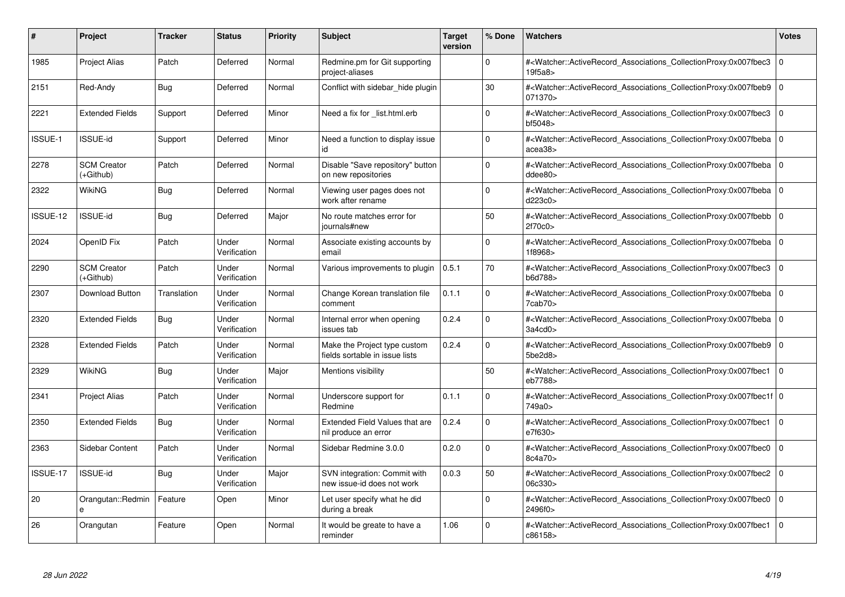| #        | Project                         | Tracker     | <b>Status</b>         | <b>Priority</b> | <b>Subject</b>                                                 | <b>Target</b><br>version | % Done      | <b>Watchers</b>                                                                                                                                           | <b>Votes</b>   |
|----------|---------------------------------|-------------|-----------------------|-----------------|----------------------------------------------------------------|--------------------------|-------------|-----------------------------------------------------------------------------------------------------------------------------------------------------------|----------------|
| 1985     | <b>Project Alias</b>            | Patch       | Deferred              | Normal          | Redmine.pm for Git supporting<br>project-aliases               |                          | $\Omega$    | # <watcher::activerecord associations="" collectionproxy:0x007fbec3<br="">19f5a8&gt;</watcher::activerecord>                                              | $\Omega$       |
| 2151     | Red-Andy                        | Bug         | Deferred              | Normal          | Conflict with sidebar hide plugin                              |                          | 30          | # <watcher::activerecord 0<br="" associations="" collectionproxy:0x007fbeb9=""  ="">071370&gt;</watcher::activerecord>                                    |                |
| 2221     | <b>Extended Fields</b>          | Support     | Deferred              | Minor           | Need a fix for _list.html.erb                                  |                          | $\Omega$    | # <watcher::activerecord_associations_collectionproxy:0x007fbec3<br>bf5048&gt;</watcher::activerecord_associations_collectionproxy:0x007fbec3<br>         | $\Omega$       |
| ISSUE-1  | <b>ISSUE-id</b>                 | Support     | Deferred              | Minor           | Need a function to display issue<br>id                         |                          | $\Omega$    | # <watcher::activerecord_associations_collectionproxy:0x007fbeba 0<br=""  ="">acea38&gt;</watcher::activerecord_associations_collectionproxy:0x007fbeba>  |                |
| 2278     | <b>SCM Creator</b><br>(+Github) | Patch       | Deferred              | Normal          | Disable "Save repository" button<br>on new repositories        |                          | $\Omega$    | # <watcher::activerecord_associations_collectionproxy:0x007fbeba<br>ddee80</watcher::activerecord_associations_collectionproxy:0x007fbeba<br>             | l 0            |
| 2322     | <b>WikiNG</b>                   | Bug         | Deferred              | Normal          | Viewing user pages does not<br>work after rename               |                          | $\Omega$    | # <watcher::activerecord_associations_collectionproxy:0x007fbeba 0<br=""  ="">d223c0&gt;</watcher::activerecord_associations_collectionproxy:0x007fbeba>  |                |
| ISSUE-12 | <b>ISSUE-id</b>                 | Bug         | Deferred              | Major           | No route matches error for<br>iournals#new                     |                          | 50          | # <watcher::activerecord associations="" collectionproxy:0x007fbebb<br="">2f70c0</watcher::activerecord>                                                  | $\overline{0}$ |
| 2024     | OpenID Fix                      | Patch       | Under<br>Verification | Normal          | Associate existing accounts by<br>email                        |                          | $\mathbf 0$ | # <watcher::activerecord_associations_collectionproxy:0x007fbeba 0<br="">1f8968&gt;</watcher::activerecord_associations_collectionproxy:0x007fbeba>       |                |
| 2290     | <b>SCM Creator</b><br>(+Github) | Patch       | Under<br>Verification | Normal          | Various improvements to plugin                                 | 0.5.1                    | 70          | # <watcher::activerecord_associations_collectionproxy:0x007fbec3<br>b6d788&gt;</watcher::activerecord_associations_collectionproxy:0x007fbec3<br>         | $\overline{0}$ |
| 2307     | Download Button                 | Translation | Under<br>Verification | Normal          | Change Korean translation file<br>comment                      | 0.1.1                    | $\Omega$    | # <watcher::activerecord 0<br="" associations="" collectionproxy:0x007fbeba=""  ="">7cab70<sub>&gt;</sub></watcher::activerecord>                         |                |
| 2320     | <b>Extended Fields</b>          | Bug         | Under<br>Verification | Normal          | Internal error when opening<br>issues tab                      | 0.2.4                    | $\Omega$    | # <watcher::activerecord_associations_collectionproxy:0x007fbeba 0<br=""  ="">3a4cd0</watcher::activerecord_associations_collectionproxy:0x007fbeba>      |                |
| 2328     | <b>Extended Fields</b>          | Patch       | Under<br>Verification | Normal          | Make the Project type custom<br>fields sortable in issue lists | 0.2.4                    | $\Omega$    | # <watcher::activerecord_associations_collectionproxy:0x007fbeb9 0<br="">5be2d8&gt;</watcher::activerecord_associations_collectionproxy:0x007fbeb9>       |                |
| 2329     | WikiNG                          | Bug         | Under<br>Verification | Major           | Mentions visibility                                            |                          | 50          | # <watcher::activerecord associations="" collectionproxy:0x007fbec1<br="">eb7788&gt;</watcher::activerecord>                                              | l 0            |
| 2341     | Project Alias                   | Patch       | Under<br>Verification | Normal          | Underscore support for<br>Redmine                              | 0.1.1                    | $\Omega$    | # <watcher::activerecord_associations_collectionproxy:0x007fbec1f 0<br=""  ="">749a0&gt;</watcher::activerecord_associations_collectionproxy:0x007fbec1f> |                |
| 2350     | <b>Extended Fields</b>          | Bug         | Under<br>Verification | Normal          | Extended Field Values that are<br>nil produce an error         | 0.2.4                    | $\mathbf 0$ | # <watcher::activerecord associations="" collectionproxy:0x007fbec1<br="">e7f630&gt;</watcher::activerecord>                                              | l O            |
| 2363     | <b>Sidebar Content</b>          | Patch       | Under<br>Verification | Normal          | Sidebar Redmine 3.0.0                                          | 0.2.0                    | $\mathbf 0$ | # <watcher::activerecord_associations_collectionproxy:0x007fbec0<br>8c4a70&gt;</watcher::activerecord_associations_collectionproxy:0x007fbec0<br>         | $\overline{0}$ |
| ISSUE-17 | <b>ISSUE-id</b>                 | Bug         | Under<br>Verification | Major           | SVN integration: Commit with<br>new issue-id does not work     | 0.0.3                    | 50          | # <watcher::activerecord_associations_collectionproxy:0x007fbec2 0<br=""  ="">06c330&gt;</watcher::activerecord_associations_collectionproxy:0x007fbec2>  |                |
| 20       | Orangutan::Redmin<br>e          | Feature     | Open                  | Minor           | Let user specify what he did<br>during a break                 |                          | $\mathbf 0$ | # <watcher::activerecord associations="" collectionproxy:0x007fbec0<br="">2496f0&gt;</watcher::activerecord>                                              | l O            |
| 26       | Orangutan                       | Feature     | Open                  | Normal          | It would be greate to have a<br>reminder                       | 1.06                     | $\Omega$    | # <watcher::activerecord associations="" collectionproxy:0x007fbec1<br="">c86158&gt;</watcher::activerecord>                                              | $\overline{0}$ |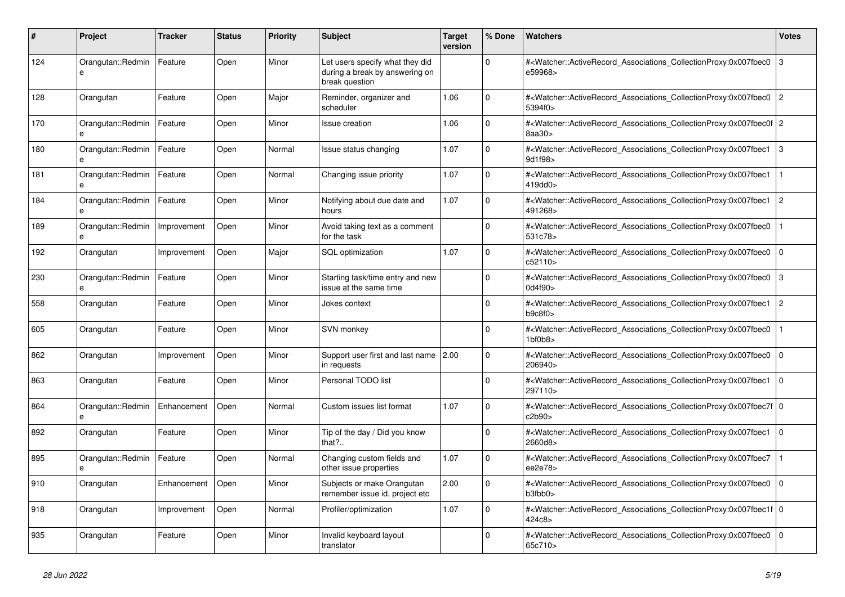| #   | Project                       | <b>Tracker</b> | <b>Status</b> | <b>Priority</b> | <b>Subject</b>                                                                      | <b>Target</b><br>version | % Done      | Watchers                                                                                                                                                  | Votes          |
|-----|-------------------------------|----------------|---------------|-----------------|-------------------------------------------------------------------------------------|--------------------------|-------------|-----------------------------------------------------------------------------------------------------------------------------------------------------------|----------------|
| 124 | Orangutan::Redmin<br>e        | Feature        | Open          | Minor           | Let users specify what they did<br>during a break by answering on<br>break question |                          | $\Omega$    | # <watcher::activerecord_associations_collectionproxy:0x007fbec0<br>e59968&gt;</watcher::activerecord_associations_collectionproxy:0x007fbec0<br>         | 3              |
| 128 | Orangutan                     | Feature        | Open          | Major           | Reminder, organizer and<br>scheduler                                                | 1.06                     | $\Omega$    | # <watcher::activerecord_associations_collectionproxy:0x007fbec0<br>5394f0&gt;</watcher::activerecord_associations_collectionproxy:0x007fbec0<br>         | $\overline{2}$ |
| 170 | Orangutan::Redmin<br>e        | Feature        | Open          | Minor           | Issue creation                                                                      | 1.06                     | $\Omega$    | # <watcher::activerecord_associations_collectionproxy:0x007fbec0f 2<br="">8aa30&gt;</watcher::activerecord_associations_collectionproxy:0x007fbec0f>      |                |
| 180 | Orangutan::Redmin             | Feature        | Open          | Normal          | Issue status changing                                                               | 1.07                     | $\Omega$    | # <watcher::activerecord_associations_collectionproxy:0x007fbec1<br>9d1f98&gt;</watcher::activerecord_associations_collectionproxy:0x007fbec1<br>         | 3              |
| 181 | Orangutan::Redmin<br>$\theta$ | Feature        | Open          | Normal          | Changing issue priority                                                             | 1.07                     | $\Omega$    | # <watcher::activerecord associations="" collectionproxy:0x007fbec1<br="">419dd0&gt;</watcher::activerecord>                                              |                |
| 184 | Orangutan::Redmin<br>e        | Feature        | Open          | Minor           | Notifying about due date and<br>hours                                               | 1.07                     | $\Omega$    | # <watcher::activerecord_associations_collectionproxy:0x007fbec1<br>491268&gt;</watcher::activerecord_associations_collectionproxy:0x007fbec1<br>         | $\overline{2}$ |
| 189 | Orangutan::Redmin<br>e        | Improvement    | Open          | Minor           | Avoid taking text as a comment<br>for the task                                      |                          | $\Omega$    | # <watcher::activerecord_associations_collectionproxy:0x007fbec0<br>531c78&gt;</watcher::activerecord_associations_collectionproxy:0x007fbec0<br>         |                |
| 192 | Orangutan                     | Improvement    | Open          | Major           | <b>SQL</b> optimization                                                             | 1.07                     | $\Omega$    | # <watcher::activerecord associations="" collectionproxy:0x007fbec0<br="">c52110&gt;</watcher::activerecord>                                              | 0              |
| 230 | Orangutan::Redmin<br>$\theta$ | Feature        | Open          | Minor           | Starting task/time entry and new<br>issue at the same time                          |                          | $\Omega$    | # <watcher::activerecord associations="" collectionproxy:0x007fbec0<br="">0d4f90&gt;</watcher::activerecord>                                              | 3              |
| 558 | Orangutan                     | Feature        | Open          | Minor           | Jokes context                                                                       |                          | $\Omega$    | # <watcher::activerecord_associations_collectionproxy:0x007fbec1<br>b9c8f0</watcher::activerecord_associations_collectionproxy:0x007fbec1<br>             | $\overline{2}$ |
| 605 | Orangutan                     | Feature        | Open          | Minor           | <b>SVN monkey</b>                                                                   |                          | $\Omega$    | # <watcher::activerecord associations="" collectionproxy:0x007fbec0<br="">1<sub>b</sub>f0<sub>b</sub>8&gt;</watcher::activerecord>                        |                |
| 862 | Orangutan                     | Improvement    | Open          | Minor           | Support user first and last name<br>in requests                                     | 2.00                     | $\mathbf 0$ | # <watcher::activerecord_associations_collectionproxy:0x007fbec0<br>206940&gt;</watcher::activerecord_associations_collectionproxy:0x007fbec0<br>         | 0              |
| 863 | Orangutan                     | Feature        | Open          | Minor           | Personal TODO list                                                                  |                          | $\Omega$    | # <watcher::activerecord_associations_collectionproxy:0x007fbec1<br>297110&gt;</watcher::activerecord_associations_collectionproxy:0x007fbec1<br>         | $\overline{0}$ |
| 864 | Orangutan::Redmin<br>e        | Enhancement    | Open          | Normal          | Custom issues list format                                                           | 1.07                     | $\Omega$    | # <watcher::activerecord 0<br="" associations="" collectionproxy:0x007fbec7f=""  ="">c2b90&gt;</watcher::activerecord>                                    |                |
| 892 | Orangutan                     | Feature        | Open          | Minor           | Tip of the day / Did you know<br>that?                                              |                          | $\mathbf 0$ | # <watcher::activerecord associations="" collectionproxy:0x007fbec1<br="">2660d8&gt;</watcher::activerecord>                                              | 0              |
| 895 | Orangutan::Redmin<br>e        | Feature        | Open          | Normal          | Changing custom fields and<br>other issue properties                                | 1.07                     | $\Omega$    | # <watcher::activerecord_associations_collectionproxy:0x007fbec7<br>ee2e78&gt;</watcher::activerecord_associations_collectionproxy:0x007fbec7<br>         |                |
| 910 | Orangutan                     | Enhancement    | Open          | Minor           | Subjects or make Orangutan<br>remember issue id, project etc                        | 2.00                     | $\Omega$    | # <watcher::activerecord associations="" collectionproxy:0x007fbec0<br="">b3fbb0<sub>&gt;</sub></watcher::activerecord>                                   | $\overline{0}$ |
| 918 | Orangutan                     | Improvement    | Open          | Normal          | Profiler/optimization                                                               | 1.07                     | $\mathbf 0$ | # <watcher::activerecord_associations_collectionproxy:0x007fbec1f 0<br=""  ="">424c8&gt;</watcher::activerecord_associations_collectionproxy:0x007fbec1f> |                |
| 935 | Orangutan                     | Feature        | Open          | Minor           | Invalid keyboard layout<br>translator                                               |                          | $\Omega$    | # <watcher::activerecord_associations_collectionproxy:0x007fbec0<br>65c710&gt;</watcher::activerecord_associations_collectionproxy:0x007fbec0<br>         | $\overline{0}$ |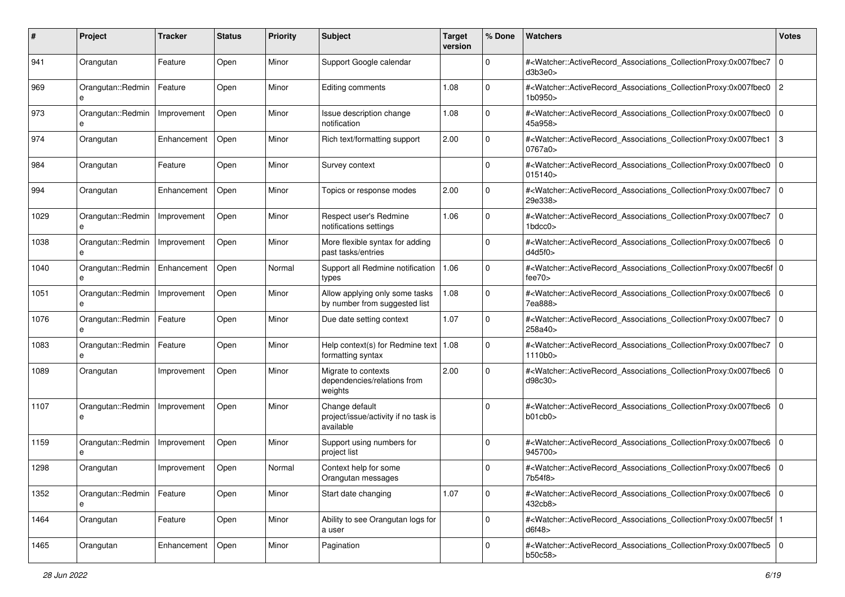| #    | Project                          | <b>Tracker</b> | <b>Status</b> | <b>Priority</b> | <b>Subject</b>                                                      | <b>Target</b><br>version | % Done       | Watchers                                                                                                                                                  | <b>Votes</b>   |
|------|----------------------------------|----------------|---------------|-----------------|---------------------------------------------------------------------|--------------------------|--------------|-----------------------------------------------------------------------------------------------------------------------------------------------------------|----------------|
| 941  | Orangutan                        | Feature        | Open          | Minor           | Support Google calendar                                             |                          | 0            | # <watcher::activerecord associations="" collectionproxy:0x007fbec7<br="">d3b3e0&gt;</watcher::activerecord>                                              | $\mathbf 0$    |
| 969  | Orangutan::Redmin<br>e           | Feature        | Open          | Minor           | Editing comments                                                    | 1.08                     | 0            | # <watcher::activerecord_associations_collectionproxy:0x007fbec0<br>1b0950&gt;</watcher::activerecord_associations_collectionproxy:0x007fbec0<br>         | $\overline{2}$ |
| 973  | Orangutan::Redmin<br>e           | Improvement    | Open          | Minor           | Issue description change<br>notification                            | 1.08                     | 0            | # <watcher::activerecord_associations_collectionproxy:0x007fbec0  <br="">45a958&gt;</watcher::activerecord_associations_collectionproxy:0x007fbec0>       | l O            |
| 974  | Orangutan                        | Enhancement    | Open          | Minor           | Rich text/formatting support                                        | 2.00                     | 0            | # <watcher::activerecord_associations_collectionproxy:0x007fbec1<br>0767a0&gt;</watcher::activerecord_associations_collectionproxy:0x007fbec1<br>         | 3              |
| 984  | Orangutan                        | Feature        | Open          | Minor           | Survey context                                                      |                          | 0            | # <watcher::activerecord_associations_collectionproxy:0x007fbec0<br>015140&gt;</watcher::activerecord_associations_collectionproxy:0x007fbec0<br>         | $\mathbf 0$    |
| 994  | Orangutan                        | Enhancement    | Open          | Minor           | Topics or response modes                                            | 2.00                     | $\Omega$     | # <watcher::activerecord_associations_collectionproxy:0x007fbec7<br>29e338&gt;</watcher::activerecord_associations_collectionproxy:0x007fbec7<br>         | $\mathbf 0$    |
| 1029 | Orangutan::Redmin                | Improvement    | Open          | Minor           | Respect user's Redmine<br>notifications settings                    | 1.06                     | 0            | # <watcher::activerecord_associations_collectionproxy:0x007fbec7<br>1bdcc0&gt;</watcher::activerecord_associations_collectionproxy:0x007fbec7<br>         | $\mathbf 0$    |
| 1038 | Orangutan::Redmin<br>e           | Improvement    | Open          | Minor           | More flexible syntax for adding<br>past tasks/entries               |                          | 0            | # <watcher::activerecord_associations_collectionproxy:0x007fbec6<br>d4d5f0</watcher::activerecord_associations_collectionproxy:0x007fbec6<br>             | $\mathbf 0$    |
| 1040 | Orangutan::Redmin<br>e           | Enhancement    | Open          | Normal          | Support all Redmine notification<br>types                           | 1.06                     | $\mathbf 0$  | # <watcher::activerecord_associations_collectionproxy:0x007fbec6f 0<br=""  ="">fee70</watcher::activerecord_associations_collectionproxy:0x007fbec6f>     |                |
| 1051 | Orangutan::Redmin<br>e           | Improvement    | Open          | Minor           | Allow applying only some tasks<br>by number from suggested list     | 1.08                     | 0            | # <watcher::activerecord_associations_collectionproxy:0x007fbec6<br>7ea888&gt;</watcher::activerecord_associations_collectionproxy:0x007fbec6<br>         | l O            |
| 1076 | Orangutan::Redmin<br>e           | Feature        | Open          | Minor           | Due date setting context                                            | 1.07                     | 0            | # <watcher::activerecord_associations_collectionproxy:0x007fbec7<br>258a40&gt;</watcher::activerecord_associations_collectionproxy:0x007fbec7<br>         | $\mathbf 0$    |
| 1083 | Orangutan::Redmin<br>e           | Feature        | Open          | Minor           | Help context(s) for Redmine text   $1.08$<br>formatting syntax      |                          | $\mathbf 0$  | # <watcher::activerecord_associations_collectionproxy:0x007fbec7<br>1110b0</watcher::activerecord_associations_collectionproxy:0x007fbec7<br>             | $\mathbf 0$    |
| 1089 | Orangutan                        | Improvement    | Open          | Minor           | Migrate to contexts<br>dependencies/relations from<br>weights       | 2.00                     | $\Omega$     | # <watcher::activerecord_associations_collectionproxy:0x007fbec6<br>d98c30&gt;</watcher::activerecord_associations_collectionproxy:0x007fbec6<br>         | $\mathbf 0$    |
| 1107 | Orangutan::Redmin<br>e           | Improvement    | Open          | Minor           | Change default<br>project/issue/activity if no task is<br>available |                          | $\Omega$     | # <watcher::activerecord_associations_collectionproxy:0x007fbec6<br>b01cb0&gt;</watcher::activerecord_associations_collectionproxy:0x007fbec6<br>         | l O            |
| 1159 | Orangutan::Redmin<br>e           | Improvement    | Open          | Minor           | Support using numbers for<br>project list                           |                          | $\Omega$     | # <watcher::activerecord_associations_collectionproxy:0x007fbec6<br>945700&gt;</watcher::activerecord_associations_collectionproxy:0x007fbec6<br>         | $\mathbf 0$    |
| 1298 | Orangutan                        | Improvement    | Open          | Normal          | Context help for some<br>Orangutan messages                         |                          | 0            | # <watcher::activerecord_associations_collectionproxy:0x007fbec6 0<br="">7b54f8&gt;</watcher::activerecord_associations_collectionproxy:0x007fbec6>       |                |
| 1352 | Orangutan::Redmin   Feature<br>e |                | Open          | Minor           | Start date changing                                                 | 1.07                     | $\mathbf 0$  | # <watcher::activerecord_associations_collectionproxy:0x007fbec6 0<br=""  ="">432cb8&gt;</watcher::activerecord_associations_collectionproxy:0x007fbec6>  |                |
| 1464 | Orangutan                        | Feature        | Open          | Minor           | Ability to see Orangutan logs for<br>a user                         |                          | $\mathbf{0}$ | # <watcher::activerecord_associations_collectionproxy:0x007fbec5f 1<br=""  ="">d6f48&gt;</watcher::activerecord_associations_collectionproxy:0x007fbec5f> |                |
| 1465 | Orangutan                        | Enhancement    | Open          | Minor           | Pagination                                                          |                          | $\mathbf 0$  | # <watcher::activerecord_associations_collectionproxy:0x007fbec5 0<br=""  ="">b50c58&gt;</watcher::activerecord_associations_collectionproxy:0x007fbec5>  |                |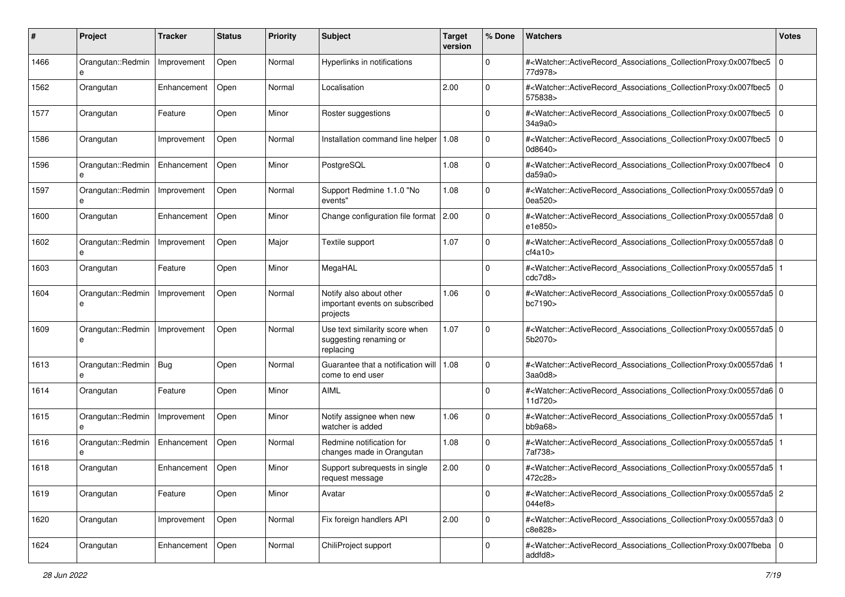| #    | Project                      | Tracker     | <b>Status</b> | <b>Priority</b> | <b>Subject</b>                                                        | <b>Target</b><br>version | % Done      | Watchers                                                                                                                                                 | <b>Votes</b> |
|------|------------------------------|-------------|---------------|-----------------|-----------------------------------------------------------------------|--------------------------|-------------|----------------------------------------------------------------------------------------------------------------------------------------------------------|--------------|
| 1466 | Orangutan::Redmin<br>e       | Improvement | Open          | Normal          | Hyperlinks in notifications                                           |                          | $\mathbf 0$ | # <watcher::activerecord_associations_collectionproxy:0x007fbec5<br>77d978&gt;</watcher::activerecord_associations_collectionproxy:0x007fbec5<br>        | $\mathbf 0$  |
| 1562 | Orangutan                    | Enhancement | Open          | Normal          | Localisation                                                          | 2.00                     | 0           | # <watcher::activerecord_associations_collectionproxy:0x007fbec5<br>575838&gt;</watcher::activerecord_associations_collectionproxy:0x007fbec5<br>        | $\mathbf 0$  |
| 1577 | Orangutan                    | Feature     | Open          | Minor           | Roster suggestions                                                    |                          | 0           | # <watcher::activerecord_associations_collectionproxy:0x007fbec5<br>34a9a0&gt;</watcher::activerecord_associations_collectionproxy:0x007fbec5<br>        | $\mathbf 0$  |
| 1586 | Orangutan                    | Improvement | Open          | Normal          | Installation command line helper                                      | 1.08                     | 0           | # <watcher::activerecord_associations_collectionproxy:0x007fbec5<br>0d8640&gt;</watcher::activerecord_associations_collectionproxy:0x007fbec5<br>        | $\Omega$     |
| 1596 | Orangutan::Redmin<br>e       | Enhancement | Open          | Minor           | PostgreSQL                                                            | 1.08                     | 0           | # <watcher::activerecord_associations_collectionproxy:0x007fbec4<br>da59a0&gt;</watcher::activerecord_associations_collectionproxy:0x007fbec4<br>        | l O          |
| 1597 | Orangutan::Redmin            | Improvement | Open          | Normal          | Support Redmine 1.1.0 "No<br>events"                                  | 1.08                     | $\mathbf 0$ | # <watcher::activerecord_associations_collectionproxy:0x00557da9 0<br="">0ea520&gt;</watcher::activerecord_associations_collectionproxy:0x00557da9>      |              |
| 1600 | Orangutan                    | Enhancement | Open          | Minor           | Change configuration file format 2.00                                 |                          | 0           | # <watcher::activerecord_associations_collectionproxy:0x00557da8 0<br=""  ="">e1e850&gt;</watcher::activerecord_associations_collectionproxy:0x00557da8> |              |
| 1602 | Orangutan::Redmin<br>e       | Improvement | Open          | Major           | Textile support                                                       | 1.07                     | $\mathbf 0$ | # <watcher::activerecord_associations_collectionproxy:0x00557da8 0<br=""  ="">cf4a10&gt;</watcher::activerecord_associations_collectionproxy:0x00557da8> |              |
| 1603 | Orangutan                    | Feature     | Open          | Minor           | MegaHAL                                                               |                          | $\mathbf 0$ | # <watcher::activerecord_associations_collectionproxy:0x00557da5 1<br=""  ="">cdc7d8&gt;</watcher::activerecord_associations_collectionproxy:0x00557da5> |              |
| 1604 | Orangutan::Redmin<br>e       | Improvement | Open          | Normal          | Notify also about other<br>important events on subscribed<br>projects | 1.06                     | 0           | # <watcher::activerecord_associations_collectionproxy:0x00557da5 0<br="">bc7190&gt;</watcher::activerecord_associations_collectionproxy:0x00557da5>      |              |
| 1609 | Orangutan::Redmin<br>е       | Improvement | Open          | Normal          | Use text similarity score when<br>suggesting renaming or<br>replacing | 1.07                     | 0           | # <watcher::activerecord_associations_collectionproxy:0x00557da5 0<br="">5b2070&gt;</watcher::activerecord_associations_collectionproxy:0x00557da5>      |              |
| 1613 | Orangutan::Redmin   Bug<br>e |             | Open          | Normal          | Guarantee that a notification will   1.08<br>come to end user         |                          | $\Omega$    | # <watcher::activerecord_associations_collectionproxy:0x00557da6<br>3aa0d8</watcher::activerecord_associations_collectionproxy:0x00557da6<br>            |              |
| 1614 | Orangutan                    | Feature     | Open          | Minor           | AIML                                                                  |                          | $\Omega$    | # <watcher::activerecord_associations_collectionproxy:0x00557da6 0<br=""  ="">11d720&gt;</watcher::activerecord_associations_collectionproxy:0x00557da6> |              |
| 1615 | Orangutan::Redmin<br>e       | Improvement | Open          | Minor           | Notify assignee when new<br>watcher is added                          | 1.06                     | $\mathbf 0$ | # <watcher::activerecord_associations_collectionproxy:0x00557da5<br>bb9a68</watcher::activerecord_associations_collectionproxy:0x00557da5<br>            |              |
| 1616 | Orangutan::Redmin<br>e       | Enhancement | Open          | Normal          | Redmine notification for<br>changes made in Orangutan                 | 1.08                     | $\mathbf 0$ | # <watcher::activerecord_associations_collectionproxy:0x00557da5<br>7af738&gt;</watcher::activerecord_associations_collectionproxy:0x00557da5<br>        |              |
| 1618 | Orangutan                    | Enhancement | Open          | Minor           | Support subrequests in single<br>request message                      | 2.00                     | 0           | # <watcher::activerecord_associations_collectionproxy:0x00557da5 1<br=""  ="">472c28&gt;</watcher::activerecord_associations_collectionproxy:0x00557da5> |              |
| 1619 | Orangutan                    | Feature     | Open          | Minor           | Avatar                                                                |                          | $\mathbf 0$ | # <watcher::activerecord_associations_collectionproxy:0x00557da5 2<br="">044ef8&gt;</watcher::activerecord_associations_collectionproxy:0x00557da5>      |              |
| 1620 | Orangutan                    | Improvement | Open          | Normal          | Fix foreign handlers API                                              | 2.00                     | $\mathbf 0$ | # <watcher::activerecord_associations_collectionproxy:0x00557da3 0<br="">c8e828&gt;</watcher::activerecord_associations_collectionproxy:0x00557da3>      |              |
| 1624 | Orangutan                    | Enhancement | Open          | Normal          | ChiliProject support                                                  |                          | $\mathbf 0$ | # <watcher::activerecord 0<br="" associations="" collectionproxy:0x007fbeba="">addfd8&gt;</watcher::activerecord>                                        |              |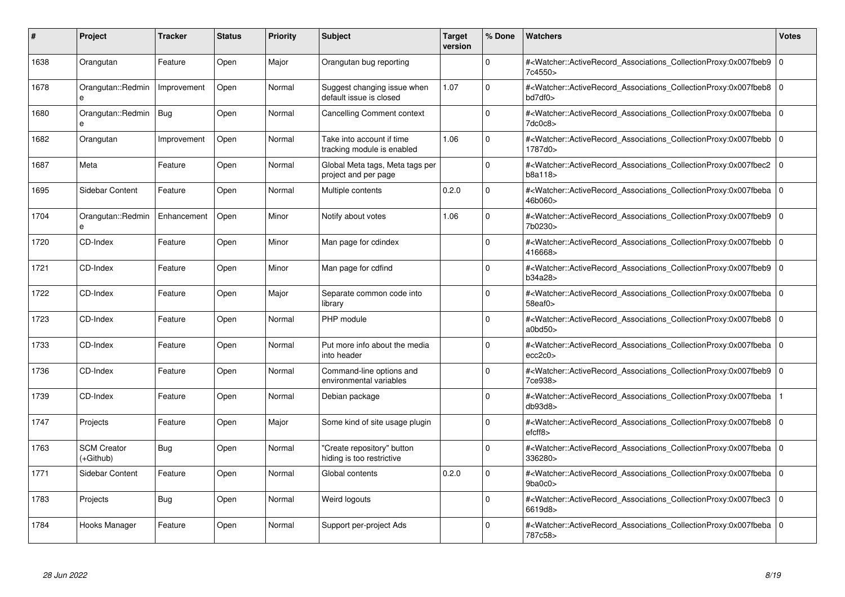| #    | Project                         | <b>Tracker</b> | <b>Status</b> | <b>Priority</b> | <b>Subject</b>                                          | <b>Target</b><br>version | % Done      | <b>Watchers</b>                                                                                                                                          | <b>Votes</b> |
|------|---------------------------------|----------------|---------------|-----------------|---------------------------------------------------------|--------------------------|-------------|----------------------------------------------------------------------------------------------------------------------------------------------------------|--------------|
| 1638 | Orangutan                       | Feature        | Open          | Major           | Orangutan bug reporting                                 |                          | $\Omega$    | # <watcher::activerecord_associations_collectionproxy:0x007fbeb9<br>7c4550&gt;</watcher::activerecord_associations_collectionproxy:0x007fbeb9<br>        | $\mathbf 0$  |
| 1678 | Orangutan::Redmin<br>е          | Improvement    | Open          | Normal          | Suggest changing issue when<br>default issue is closed  | 1.07                     | $\Omega$    | # <watcher::activerecord_associations_collectionproxy:0x007fbeb8 0<br="">bd7df0&gt;</watcher::activerecord_associations_collectionproxy:0x007fbeb8>      |              |
| 1680 | Orangutan::Redmin<br>e          | Bug            | Open          | Normal          | <b>Cancelling Comment context</b>                       |                          | $\mathbf 0$ | # <watcher::activerecord_associations_collectionproxy:0x007fbeba<br>7dc0c8&gt;</watcher::activerecord_associations_collectionproxy:0x007fbeba<br>        | $\mathbf 0$  |
| 1682 | Orangutan                       | Improvement    | Open          | Normal          | Take into account if time<br>tracking module is enabled | 1.06                     | $\Omega$    | # <watcher::activerecord_associations_collectionproxy:0x007fbebb 0<br=""  ="">1787d0&gt;</watcher::activerecord_associations_collectionproxy:0x007fbebb> |              |
| 1687 | Meta                            | Feature        | Open          | Normal          | Global Meta tags, Meta tags per<br>project and per page |                          | $\Omega$    | # <watcher::activerecord associations="" collectionproxy:0x007fbec2<br="">b8a118</watcher::activerecord>                                                 | $\mathbf 0$  |
| 1695 | Sidebar Content                 | Feature        | Open          | Normal          | Multiple contents                                       | 0.2.0                    | $\Omega$    | # <watcher::activerecord 0<br="" associations="" collectionproxy:0x007fbeba=""  ="">46b060&gt;</watcher::activerecord>                                   |              |
| 1704 | Orangutan::Redmin               | Enhancement    | Open          | Minor           | Notify about votes                                      | 1.06                     | $\Omega$    | # <watcher::activerecord_associations_collectionproxy:0x007fbeb9 0<br=""  ="">7b0230&gt;</watcher::activerecord_associations_collectionproxy:0x007fbeb9> |              |
| 1720 | CD-Index                        | Feature        | Open          | Minor           | Man page for cdindex                                    |                          | $\Omega$    | # <watcher::activerecord_associations_collectionproxy:0x007fbebb  <br="">416668&gt;</watcher::activerecord_associations_collectionproxy:0x007fbebb>      | $\Omega$     |
| 1721 | CD-Index                        | Feature        | Open          | Minor           | Man page for cdfind                                     |                          | $\Omega$    | # <watcher::activerecord associations="" collectionproxy:0x007fbeb9<br="">b34a28&gt;</watcher::activerecord>                                             | $\mathbf 0$  |
| 1722 | CD-Index                        | Feature        | Open          | Major           | Separate common code into<br>library                    |                          | $\Omega$    | # <watcher::activerecord 0<br="" associations="" collectionproxy:0x007fbeba=""  ="">58eaf0&gt;</watcher::activerecord>                                   |              |
| 1723 | CD-Index                        | Feature        | Open          | Normal          | PHP module                                              |                          | $\Omega$    | # <watcher::activerecord_associations_collectionproxy:0x007fbeb8 0<br=""  ="">a0bd50&gt;</watcher::activerecord_associations_collectionproxy:0x007fbeb8> |              |
| 1733 | CD-Index                        | Feature        | Open          | Normal          | Put more info about the media<br>into header            |                          | $\Omega$    | # <watcher::activerecord_associations_collectionproxy:0x007fbeba  <br="">ecc2c0</watcher::activerecord_associations_collectionproxy:0x007fbeba>          | $\mathbf 0$  |
| 1736 | CD-Index                        | Feature        | Open          | Normal          | Command-line options and<br>environmental variables     |                          | $\Omega$    | # <watcher::activerecord associations="" collectionproxy:0x007fbeb9<br="">7ce938&gt;</watcher::activerecord>                                             | $\mathbf 0$  |
| 1739 | CD-Index                        | Feature        | Open          | Normal          | Debian package                                          |                          | $\mathbf 0$ | # <watcher::activerecord associations="" collectionproxy:0x007fbeba<br="">db93d8</watcher::activerecord>                                                 |              |
| 1747 | Projects                        | Feature        | Open          | Major           | Some kind of site usage plugin                          |                          | $\Omega$    | # <watcher::activerecord_associations_collectionproxy:0x007fbeb8 0<br=""  ="">efcff8</watcher::activerecord_associations_collectionproxy:0x007fbeb8>     |              |
| 1763 | <b>SCM Creator</b><br>(+Github) | Bug            | Open          | Normal          | 'Create repository" button<br>hiding is too restrictive |                          | $\Omega$    | # <watcher::activerecord associations="" collectionproxy:0x007fbeba<br="">336280&gt;</watcher::activerecord>                                             | $\mathbf 0$  |
| 1771 | Sidebar Content                 | Feature        | Open          | Normal          | Global contents                                         | 0.2.0                    | $\Omega$    | # <watcher::activerecord 0<br="" associations="" collectionproxy:0x007fbeba=""  ="">9ba0c0</watcher::activerecord>                                       |              |
| 1783 | Projects                        | Bug            | Open          | Normal          | Weird logouts                                           |                          | $\Omega$    | # <watcher::activerecord associations="" collectionproxy:0x007fbec3<br="">6619d8&gt;</watcher::activerecord>                                             | $\mathbf 0$  |
| 1784 | Hooks Manager                   | Feature        | Open          | Normal          | Support per-project Ads                                 |                          | $\Omega$    | # <watcher::activerecord_associations_collectionproxy:0x007fbeba 0<br=""  ="">787c58&gt;</watcher::activerecord_associations_collectionproxy:0x007fbeba> |              |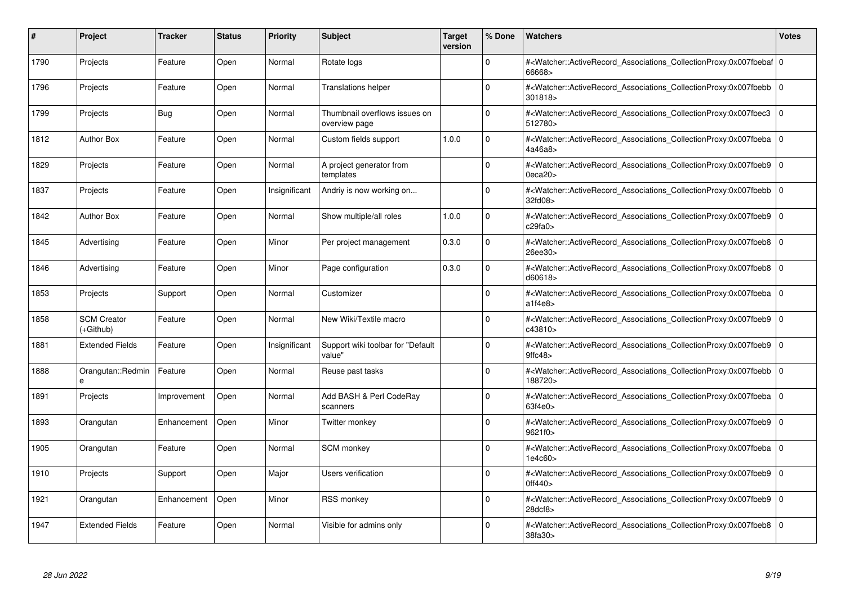| #    | Project                           | <b>Tracker</b> | <b>Status</b> | <b>Priority</b> | <b>Subject</b>                                 | <b>Target</b><br>version | % Done       | <b>Watchers</b>                                                                                                                                          | <b>Votes</b> |
|------|-----------------------------------|----------------|---------------|-----------------|------------------------------------------------|--------------------------|--------------|----------------------------------------------------------------------------------------------------------------------------------------------------------|--------------|
| 1790 | Projects                          | Feature        | Open          | Normal          | Rotate logs                                    |                          | <sup>0</sup> | # <watcher::activerecord 0<br="" associations="" collectionproxy:0x007fbebaf=""  ="">66668&gt;</watcher::activerecord>                                   |              |
| 1796 | Projects                          | Feature        | Open          | Normal          | <b>Translations helper</b>                     |                          | $\Omega$     | # <watcher::activerecord 0<br="" associations="" collectionproxy:0x007fbebb=""  ="">301818&gt;</watcher::activerecord>                                   |              |
| 1799 | Projects                          | <b>Bug</b>     | Open          | Normal          | Thumbnail overflows issues on<br>overview page |                          | $\Omega$     | # <watcher::activerecord_associations_collectionproxy:0x007fbec3<br>512780&gt;</watcher::activerecord_associations_collectionproxy:0x007fbec3<br>        | $\Omega$     |
| 1812 | <b>Author Box</b>                 | Feature        | Open          | Normal          | Custom fields support                          | 1.0.0                    | $\Omega$     | # <watcher::activerecord_associations_collectionproxy:0x007fbeba 0<br="">4a46a8&gt;</watcher::activerecord_associations_collectionproxy:0x007fbeba>      |              |
| 1829 | Projects                          | Feature        | Open          | Normal          | A project generator from<br>templates          |                          | $\Omega$     | # <watcher::activerecord_associations_collectionproxy:0x007fbeb9<br>0eca20</watcher::activerecord_associations_collectionproxy:0x007fbeb9<br>            | $\mathbf 0$  |
| 1837 | Projects                          | Feature        | Open          | Insignificant   | Andriy is now working on                       |                          | $\Omega$     | # <watcher::activerecord_associations_collectionproxy:0x007fbebb  <br="">32fd08&gt;</watcher::activerecord_associations_collectionproxy:0x007fbebb>      | $\Omega$     |
| 1842 | <b>Author Box</b>                 | Feature        | Open          | Normal          | Show multiple/all roles                        | 1.0.0                    | $\Omega$     | # <watcher::activerecord associations="" collectionproxy:0x007fbeb9<br="">c29fa0</watcher::activerecord>                                                 | $\mathbf 0$  |
| 1845 | Advertising                       | Feature        | Open          | Minor           | Per project management                         | 0.3.0                    | $\mathbf 0$  | # <watcher::activerecord_associations_collectionproxy:0x007fbeb8  <br="">26ee30&gt;</watcher::activerecord_associations_collectionproxy:0x007fbeb8>      | $\mathbf 0$  |
| 1846 | Advertising                       | Feature        | Open          | Minor           | Page configuration                             | 0.3.0                    | $\Omega$     | # <watcher::activerecord associations="" collectionproxy:0x007fbeb8<br="">d60618&gt;</watcher::activerecord>                                             | $\mathbf 0$  |
| 1853 | Projects                          | Support        | Open          | Normal          | Customizer                                     |                          | $\Omega$     | # <watcher::activerecord 0<br="" associations="" collectionproxy:0x007fbeba=""  ="">a1f4e8</watcher::activerecord>                                       |              |
| 1858 | <b>SCM Creator</b><br>$(+Github)$ | Feature        | Open          | Normal          | New Wiki/Textile macro                         |                          | $\Omega$     | # <watcher::activerecord_associations_collectionproxy:0x007fbeb9  <br="">c43810&gt;</watcher::activerecord_associations_collectionproxy:0x007fbeb9>      | $\Omega$     |
| 1881 | <b>Extended Fields</b>            | Feature        | Open          | Insignificant   | Support wiki toolbar for "Default<br>value"    |                          | $\Omega$     | # <watcher::activerecord associations="" collectionproxy:0x007fbeb9<br="">9ffc48</watcher::activerecord>                                                 | $\mathbf 0$  |
| 1888 | Orangutan::Redmin<br>e            | Feature        | Open          | Normal          | Reuse past tasks                               |                          | $\Omega$     | # <watcher::activerecord associations="" collectionproxy:0x007fbebb=""  <br="">188720&gt;</watcher::activerecord>                                        | $\mathbf 0$  |
| 1891 | Projects                          | Improvement    | Open          | Normal          | Add BASH & Perl CodeRay<br>scanners            |                          | $\Omega$     | # <watcher::activerecord_associations_collectionproxy:0x007fbeba  <br="">63f4e0</watcher::activerecord_associations_collectionproxy:0x007fbeba>          | $\Omega$     |
| 1893 | Orangutan                         | Enhancement    | Open          | Minor           | Twitter monkey                                 |                          | 0            | # <watcher::activerecord associations="" collectionproxy:0x007fbeb9=""  <br="">9621f0&gt;</watcher::activerecord>                                        | $\mathbf 0$  |
| 1905 | Orangutan                         | Feature        | Open          | Normal          | <b>SCM</b> monkey                              |                          | $\Omega$     | # <watcher::activerecord_associations_collectionproxy:0x007fbeba 0<br=""  ="">1e4c60&gt;</watcher::activerecord_associations_collectionproxy:0x007fbeba> |              |
| 1910 | Projects                          | Support        | Open          | Major           | Users verification                             |                          | 0            | # <watcher::activerecord associations="" collectionproxy:0x007fbeb9<br="">Off440&gt;</watcher::activerecord>                                             | $\mathbf 0$  |
| 1921 | Orangutan                         | Enhancement    | Open          | Minor           | <b>RSS monkey</b>                              |                          | $\mathbf 0$  | # <watcher::activerecord associations="" collectionproxy:0x007fbeb9<br="">28dcf8</watcher::activerecord>                                                 | $\mathbf 0$  |
| 1947 | <b>Extended Fields</b>            | Feature        | Open          | Normal          | Visible for admins only                        |                          | $\Omega$     | # <watcher::activerecord associations="" collectionproxy:0x007fbeb8=""  <br="">38fa30&gt;</watcher::activerecord>                                        | $\mathbf 0$  |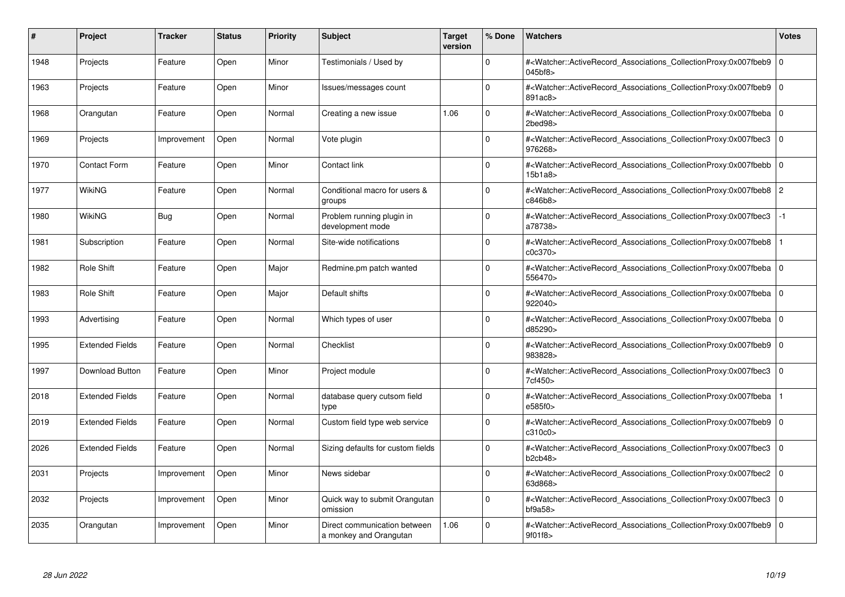| #    | Project                | <b>Tracker</b> | <b>Status</b> | <b>Priority</b> | <b>Subject</b>                                         | <b>Target</b><br>version | % Done      | Watchers                                                                                                                                                                | <b>Votes</b>   |
|------|------------------------|----------------|---------------|-----------------|--------------------------------------------------------|--------------------------|-------------|-------------------------------------------------------------------------------------------------------------------------------------------------------------------------|----------------|
| 1948 | Projects               | Feature        | Open          | Minor           | Testimonials / Used by                                 |                          | $\Omega$    | # <watcher::activerecord associations="" collectionproxy:0x007fbeb9<br="">045bf8&gt;</watcher::activerecord>                                                            | $\Omega$       |
| 1963 | Projects               | Feature        | Open          | Minor           | Issues/messages count                                  |                          | $\Omega$    | # <watcher::activerecord 0<br="" associations="" collectionproxy:0x007fbeb9=""  ="">891ac8&gt;</watcher::activerecord>                                                  |                |
| 1968 | Orangutan              | Feature        | Open          | Normal          | Creating a new issue                                   | 1.06                     | $\Omega$    | # <watcher::activerecord_associations_collectionproxy:0x007fbeba<br><math>2</math>bed<math>98</math></watcher::activerecord_associations_collectionproxy:0x007fbeba<br> | $\overline{0}$ |
| 1969 | Projects               | Improvement    | Open          | Normal          | Vote plugin                                            |                          | $\Omega$    | # <watcher::activerecord associations="" collectionproxy:0x007fbec3<br="">976268&gt;</watcher::activerecord>                                                            | l o            |
| 1970 | <b>Contact Form</b>    | Feature        | Open          | Minor           | Contact link                                           |                          | $\Omega$    | # <watcher::activerecord_associations_collectionproxy:0x007fbebb<br>15b1a8</watcher::activerecord_associations_collectionproxy:0x007fbebb<br>                           | $\mathbf 0$    |
| 1977 | WikiNG                 | Feature        | Open          | Normal          | Conditional macro for users &<br>groups                |                          | $\Omega$    | # <watcher::activerecord_associations_collectionproxy:0x007fbeb8 2<br="">c846b8&gt;</watcher::activerecord_associations_collectionproxy:0x007fbeb8>                     |                |
| 1980 | WikiNG                 | Bug            | Open          | Normal          | Problem running plugin in<br>development mode          |                          | $\Omega$    | # <watcher::activerecord associations="" collectionproxy:0x007fbec3<br="">a78738&gt;</watcher::activerecord>                                                            | $-1$           |
| 1981 | Subscription           | Feature        | Open          | Normal          | Site-wide notifications                                |                          | $\Omega$    | # <watcher::activerecord_associations_collectionproxy:0x007fbeb8<br>c0c370</watcher::activerecord_associations_collectionproxy:0x007fbeb8<br>                           |                |
| 1982 | Role Shift             | Feature        | Open          | Major           | Redmine.pm patch wanted                                |                          | $\Omega$    | # <watcher::activerecord associations="" collectionproxy:0x007fbeba<br="">556470&gt;</watcher::activerecord>                                                            | l 0            |
| 1983 | Role Shift             | Feature        | Open          | Major           | Default shifts                                         |                          | $\Omega$    | # <watcher::activerecord 0<br="" associations="" collectionproxy:0x007fbeba=""  ="">922040&gt;</watcher::activerecord>                                                  |                |
| 1993 | Advertising            | Feature        | Open          | Normal          | Which types of user                                    |                          | $\Omega$    | # <watcher::activerecord_associations_collectionproxy:0x007fbeba 0<br="">d85290&gt;</watcher::activerecord_associations_collectionproxy:0x007fbeba>                     |                |
| 1995 | <b>Extended Fields</b> | Feature        | Open          | Normal          | Checklist                                              |                          | $\Omega$    | # <watcher::activerecord_associations_collectionproxy:0x007fbeb9 0<br=""  ="">983828&gt;</watcher::activerecord_associations_collectionproxy:0x007fbeb9>                |                |
| 1997 | Download Button        | Feature        | Open          | Minor           | Project module                                         |                          | $\Omega$    | # <watcher::activerecord associations="" collectionproxy:0x007fbec3<br="">7cf450&gt;</watcher::activerecord>                                                            | l 0            |
| 2018 | <b>Extended Fields</b> | Feature        | Open          | Normal          | database query cutsom field<br>type                    |                          | $\Omega$    | # <watcher::activerecord_associations_collectionproxy:0x007fbeba<br>e585f0&gt;</watcher::activerecord_associations_collectionproxy:0x007fbeba<br>                       |                |
| 2019 | <b>Extended Fields</b> | Feature        | Open          | Normal          | Custom field type web service                          |                          | $\mathbf 0$ | # <watcher::activerecord 0<br="" associations="" collectionproxy:0x007fbeb9=""  ="">c310c0&gt;</watcher::activerecord>                                                  |                |
| 2026 | <b>Extended Fields</b> | Feature        | Open          | Normal          | Sizing defaults for custom fields                      |                          | $\Omega$    | # <watcher::activerecord_associations_collectionproxy:0x007fbec3 0<br=""  ="">b2cb48&gt;</watcher::activerecord_associations_collectionproxy:0x007fbec3>                |                |
| 2031 | Projects               | Improvement    | Open          | Minor           | News sidebar                                           |                          | $\Omega$    | # <watcher::activerecord_associations_collectionproxy:0x007fbec2 0<br=""  ="">63d868&gt;</watcher::activerecord_associations_collectionproxy:0x007fbec2>                |                |
| 2032 | Projects               | Improvement    | Open          | Minor           | Quick way to submit Orangutan<br>omission              |                          | $\mathbf 0$ | # <watcher::activerecord 0<br="" associations="" collectionproxy:0x007fbec3=""  =""><math>b</math>f9a58<math>&gt;</math></watcher::activerecord>                        |                |
| 2035 | Orangutan              | Improvement    | Open          | Minor           | Direct communication between<br>a monkey and Orangutan | 1.06                     | $\Omega$    | # <watcher::activerecord_associations_collectionproxy:0x007fbeb9 0<br=""  ="">9f01f8&gt;</watcher::activerecord_associations_collectionproxy:0x007fbeb9>                |                |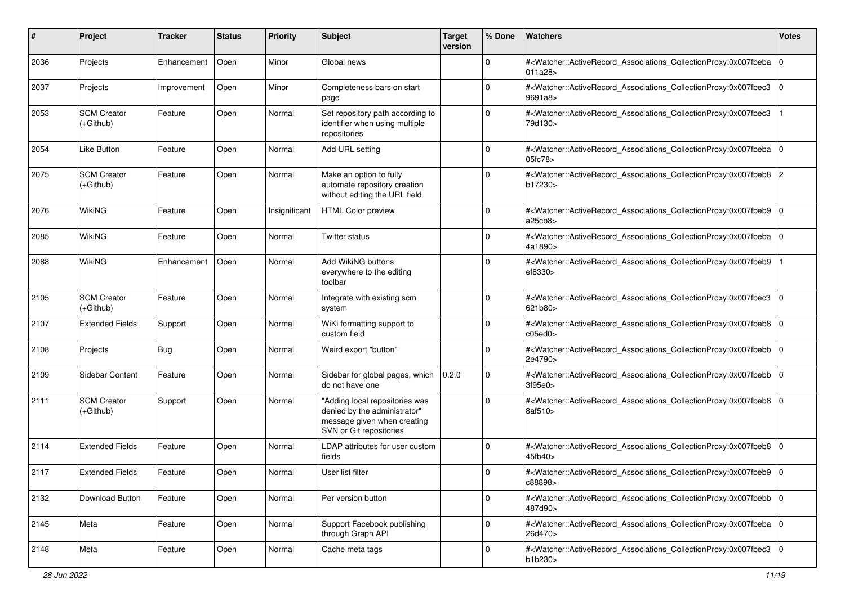| #    | Project                           | Tracker     | <b>Status</b> | <b>Priority</b> | <b>Subject</b>                                                                                                           | <b>Target</b><br>version | % Done      | Watchers                                                                                                                                                 | <b>Votes</b> |
|------|-----------------------------------|-------------|---------------|-----------------|--------------------------------------------------------------------------------------------------------------------------|--------------------------|-------------|----------------------------------------------------------------------------------------------------------------------------------------------------------|--------------|
| 2036 | Projects                          | Enhancement | Open          | Minor           | Global news                                                                                                              |                          | $\mathbf 0$ | # <watcher::activerecord_associations_collectionproxy:0x007fbeba<br>011a28</watcher::activerecord_associations_collectionproxy:0x007fbeba<br>            | l 0          |
| 2037 | Projects                          | Improvement | Open          | Minor           | Completeness bars on start<br>page                                                                                       |                          | $\mathbf 0$ | # <watcher::activerecord_associations_collectionproxy:0x007fbec3 0<br=""  ="">9691a8&gt;</watcher::activerecord_associations_collectionproxy:0x007fbec3> |              |
| 2053 | <b>SCM Creator</b><br>$(+Github)$ | Feature     | Open          | Normal          | Set repository path according to<br>identifier when using multiple<br>repositories                                       |                          | $\mathbf 0$ | # <watcher::activerecord_associations_collectionproxy:0x007fbec3<br>79d130&gt;</watcher::activerecord_associations_collectionproxy:0x007fbec3<br>        |              |
| 2054 | <b>Like Button</b>                | Feature     | Open          | Normal          | Add URL setting                                                                                                          |                          | $\mathbf 0$ | # <watcher::activerecord_associations_collectionproxy:0x007fbeba 0<br="">05fc78&gt;</watcher::activerecord_associations_collectionproxy:0x007fbeba>      |              |
| 2075 | <b>SCM Creator</b><br>$(+Github)$ | Feature     | Open          | Normal          | Make an option to fully<br>automate repository creation<br>without editing the URL field                                 |                          | $\Omega$    | # <watcher::activerecord_associations_collectionproxy:0x007fbeb8 2<br="">b17230&gt;</watcher::activerecord_associations_collectionproxy:0x007fbeb8>      |              |
| 2076 | <b>WikiNG</b>                     | Feature     | Open          | Insignificant   | <b>HTML Color preview</b>                                                                                                |                          | $\Omega$    | # <watcher::activerecord_associations_collectionproxy:0x007fbeb9 0<br=""  ="">a25cb8&gt;</watcher::activerecord_associations_collectionproxy:0x007fbeb9> |              |
| 2085 | <b>WikiNG</b>                     | Feature     | Open          | Normal          | Twitter status                                                                                                           |                          | $\mathbf 0$ | # <watcher::activerecord_associations_collectionproxy:0x007fbeba 0<br="">4a1890&gt;</watcher::activerecord_associations_collectionproxy:0x007fbeba>      |              |
| 2088 | WikiNG                            | Enhancement | Open          | Normal          | Add WikiNG buttons<br>everywhere to the editing<br>toolbar                                                               |                          | $\Omega$    | # <watcher::activerecord_associations_collectionproxy:0x007fbeb9<br>ef8330&gt;</watcher::activerecord_associations_collectionproxy:0x007fbeb9<br>        |              |
| 2105 | <b>SCM Creator</b><br>(+Github)   | Feature     | Open          | Normal          | Integrate with existing scm<br>system                                                                                    |                          | $\Omega$    | # <watcher::activerecord_associations_collectionproxy:0x007fbec3 0<br=""  ="">621b80&gt;</watcher::activerecord_associations_collectionproxy:0x007fbec3> |              |
| 2107 | <b>Extended Fields</b>            | Support     | Open          | Normal          | WiKi formatting support to<br>custom field                                                                               |                          | $\Omega$    | # <watcher::activerecord_associations_collectionproxy:0x007fbeb8 0<br="">c05ed0</watcher::activerecord_associations_collectionproxy:0x007fbeb8>          |              |
| 2108 | Projects                          | Bug         | Open          | Normal          | Weird export "button"                                                                                                    |                          | $\mathbf 0$ | # <watcher::activerecord_associations_collectionproxy:0x007fbebb 0<br=""  ="">2e4790&gt;</watcher::activerecord_associations_collectionproxy:0x007fbebb> |              |
| 2109 | Sidebar Content                   | Feature     | Open          | Normal          | Sidebar for global pages, which<br>do not have one                                                                       | 0.2.0                    | $\mathbf 0$ | # <watcher::activerecord_associations_collectionproxy:0x007fbebb 0<br="">3f95e0</watcher::activerecord_associations_collectionproxy:0x007fbebb>          |              |
| 2111 | <b>SCM Creator</b><br>$(+Github)$ | Support     | Open          | Normal          | "Adding local repositories was<br>denied by the administrator"<br>message given when creating<br>SVN or Git repositories |                          | $\Omega$    | # <watcher::activerecord_associations_collectionproxy:0x007fbeb8 0<br="">8af510&gt;</watcher::activerecord_associations_collectionproxy:0x007fbeb8>      |              |
| 2114 | <b>Extended Fields</b>            | Feature     | Open          | Normal          | LDAP attributes for user custom<br>fields                                                                                |                          | $\mathbf 0$ | # <watcher::activerecord_associations_collectionproxy:0x007fbeb8 0<br="">45fb40&gt;</watcher::activerecord_associations_collectionproxy:0x007fbeb8>      |              |
| 2117 | <b>Extended Fields</b>            | Feature     | Open          | Normal          | User list filter                                                                                                         |                          | $\mathbf 0$ | # <watcher::activerecord_associations_collectionproxy:0x007fbeb9 0<br="">c88898&gt;</watcher::activerecord_associations_collectionproxy:0x007fbeb9>      |              |
| 2132 | Download Button                   | Feature     | Open          | Normal          | Per version button                                                                                                       |                          | 0           | # <watcher::activerecord 0<br="" associations="" collectionproxy:0x007fbebb="">487d90&gt;</watcher::activerecord>                                        |              |
| 2145 | Meta                              | Feature     | Open          | Normal          | Support Facebook publishing<br>through Graph API                                                                         |                          | $\mathbf 0$ | # <watcher::activerecord_associations_collectionproxy:0x007fbeba 0<br=""  ="">26d470&gt;</watcher::activerecord_associations_collectionproxy:0x007fbeba> |              |
| 2148 | Meta                              | Feature     | Open          | Normal          | Cache meta tags                                                                                                          |                          | 0           | # <watcher::activerecord_associations_collectionproxy:0x007fbec3 0<br="">b1b230&gt;</watcher::activerecord_associations_collectionproxy:0x007fbec3>      |              |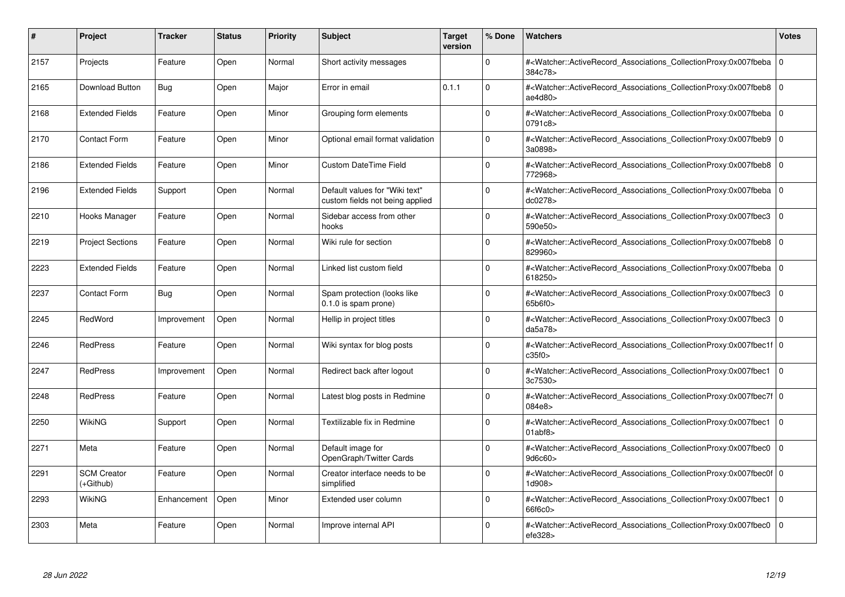| #    | Project                         | Tracker     | <b>Status</b> | <b>Priority</b> | <b>Subject</b>                                                    | <b>Target</b><br>version | % Done   | <b>Watchers</b>                                                                                                                                           | <b>Votes</b> |
|------|---------------------------------|-------------|---------------|-----------------|-------------------------------------------------------------------|--------------------------|----------|-----------------------------------------------------------------------------------------------------------------------------------------------------------|--------------|
| 2157 | Projects                        | Feature     | Open          | Normal          | Short activity messages                                           |                          | $\Omega$ | # <watcher::activerecord associations="" collectionproxy:0x007fbeba<br="">384c78&gt;</watcher::activerecord>                                              | $\mathbf 0$  |
| 2165 | Download Button                 | <b>Bug</b>  | Open          | Major           | Error in email                                                    | 0.1.1                    | $\Omega$ | # <watcher::activerecord 0<br="" associations="" collectionproxy:0x007fbeb8=""  ="">ae<math>4d80</math></watcher::activerecord>                           |              |
| 2168 | <b>Extended Fields</b>          | Feature     | Open          | Minor           | Grouping form elements                                            |                          | $\Omega$ | # <watcher::activerecord_associations_collectionproxy:0x007fbeba  <br="">0791c8&gt;</watcher::activerecord_associations_collectionproxy:0x007fbeba>       | $\Omega$     |
| 2170 | Contact Form                    | Feature     | Open          | Minor           | Optional email format validation                                  |                          | $\Omega$ | # <watcher::activerecord_associations_collectionproxy:0x007fbeb9 0<br="">3a0898&gt;</watcher::activerecord_associations_collectionproxy:0x007fbeb9>       |              |
| 2186 | <b>Extended Fields</b>          | Feature     | Open          | Minor           | <b>Custom DateTime Field</b>                                      |                          | $\Omega$ | # <watcher::activerecord_associations_collectionproxy:0x007fbeb8  <br="">772968&gt;</watcher::activerecord_associations_collectionproxy:0x007fbeb8>       | $\mathbf 0$  |
| 2196 | <b>Extended Fields</b>          | Support     | Open          | Normal          | Default values for "Wiki text"<br>custom fields not being applied |                          | $\Omega$ | # <watcher::activerecord_associations_collectionproxy:0x007fbeba 0<br=""  ="">dc0278&gt;</watcher::activerecord_associations_collectionproxy:0x007fbeba>  |              |
| 2210 | Hooks Manager                   | Feature     | Open          | Normal          | Sidebar access from other<br>hooks                                |                          | $\Omega$ | # <watcher::activerecord associations="" collectionproxy:0x007fbec3<br="">590e50&gt;</watcher::activerecord>                                              | $\mathbf 0$  |
| 2219 | <b>Project Sections</b>         | Feature     | Open          | Normal          | Wiki rule for section                                             |                          | $\Omega$ | # <watcher::activerecord_associations_collectionproxy:0x007fbeb8  <br="">829960&gt;</watcher::activerecord_associations_collectionproxy:0x007fbeb8>       | $\mathbf 0$  |
| 2223 | <b>Extended Fields</b>          | Feature     | Open          | Normal          | Linked list custom field                                          |                          | $\Omega$ | # <watcher::activerecord 0<br="" associations="" collectionproxy:0x007fbeba=""  ="">618250&gt;</watcher::activerecord>                                    |              |
| 2237 | <b>Contact Form</b>             | Bug         | Open          | Normal          | Spam protection (looks like<br>0.1.0 is spam prone)               |                          | $\Omega$ | # <watcher::activerecord associations="" collectionproxy:0x007fbec3<br="">65b6f0</watcher::activerecord>                                                  | $\mathbf 0$  |
| 2245 | RedWord                         | Improvement | Open          | Normal          | Hellip in project titles                                          |                          | $\Omega$ | # <watcher::activerecord_associations_collectionproxy:0x007fbec3<br>da5a78</watcher::activerecord_associations_collectionproxy:0x007fbec3<br>             | $\Omega$     |
| 2246 | <b>RedPress</b>                 | Feature     | Open          | Normal          | Wiki syntax for blog posts                                        |                          | $\Omega$ | # <watcher::activerecord 0<br="" associations="" collectionproxy:0x007fbec1f=""  ="">c35f0</watcher::activerecord>                                        |              |
| 2247 | <b>RedPress</b>                 | Improvement | Open          | Normal          | Redirect back after logout                                        |                          | $\Omega$ | # <watcher::activerecord 0<br="" associations="" collectionproxy:0x007fbec1=""  ="">3c7530&gt;</watcher::activerecord>                                    |              |
| 2248 | <b>RedPress</b>                 | Feature     | Open          | Normal          | Latest blog posts in Redmine                                      |                          | $\Omega$ | # <watcher::activerecord_associations_collectionproxy:0x007fbec7f 0<br=""  ="">084e8&gt;</watcher::activerecord_associations_collectionproxy:0x007fbec7f> |              |
| 2250 | WikiNG                          | Support     | Open          | Normal          | Textilizable fix in Redmine                                       |                          | $\Omega$ | # <watcher::activerecord associations="" collectionproxy:0x007fbec1<br="">01abf8</watcher::activerecord>                                                  | $\mathbf 0$  |
| 2271 | Meta                            | Feature     | Open          | Normal          | Default image for<br>OpenGraph/Twitter Cards                      |                          | $\Omega$ | # <watcher::activerecord_associations_collectionproxy:0x007fbec0<br>9d6c60&gt;</watcher::activerecord_associations_collectionproxy:0x007fbec0<br>         | $\mathbf 0$  |
| 2291 | <b>SCM Creator</b><br>(+Github) | Feature     | Open          | Normal          | Creator interface needs to be<br>simplified                       |                          | $\Omega$ | # <watcher::activerecord_associations_collectionproxy:0x007fbec0f 0<br=""  ="">1d908&gt;</watcher::activerecord_associations_collectionproxy:0x007fbec0f> |              |
| 2293 | WikiNG                          | Enhancement | Open          | Minor           | Extended user column                                              |                          | $\Omega$ | # <watcher::activerecord associations="" collectionproxy:0x007fbec1<br="">66f6c0&gt;</watcher::activerecord>                                              | $\mathbf{0}$ |
| 2303 | Meta                            | Feature     | Open          | Normal          | Improve internal API                                              |                          | $\Omega$ | # <watcher::activerecord_associations_collectionproxy:0x007fbec0 0<br=""  ="">efe328&gt;</watcher::activerecord_associations_collectionproxy:0x007fbec0>  |              |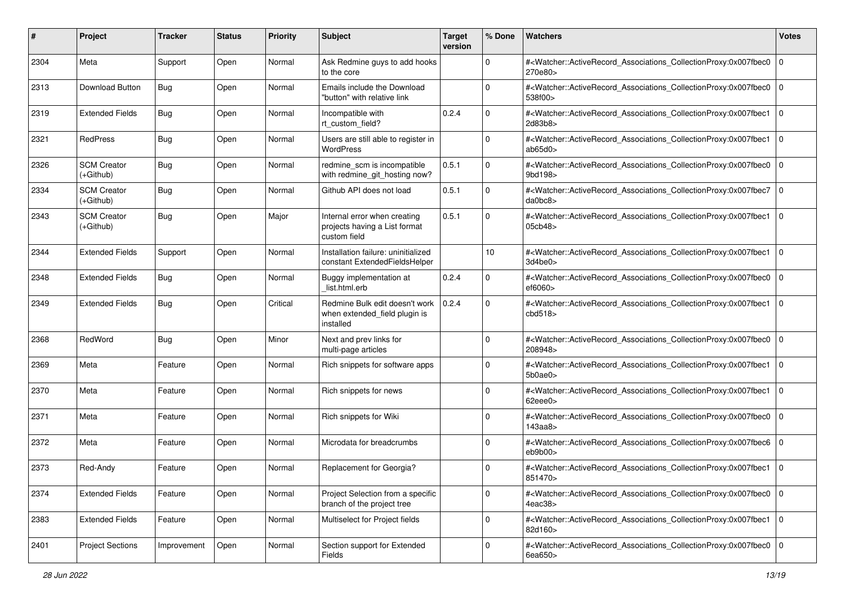| #    | Project                         | <b>Tracker</b> | <b>Status</b> | <b>Priority</b> | Subject                                                                       | <b>Target</b><br>version | % Done      | Watchers                                                                                                                                                     | <b>Votes</b> |
|------|---------------------------------|----------------|---------------|-----------------|-------------------------------------------------------------------------------|--------------------------|-------------|--------------------------------------------------------------------------------------------------------------------------------------------------------------|--------------|
| 2304 | Meta                            | Support        | Open          | Normal          | Ask Redmine guys to add hooks<br>to the core                                  |                          | 0           | # <watcher::activerecord_associations_collectionproxy:0x007fbec0<br>270e80&gt;</watcher::activerecord_associations_collectionproxy:0x007fbec0<br>            | $\mathbf 0$  |
| 2313 | Download Button                 | Bug            | Open          | Normal          | Emails include the Download<br>"button" with relative link                    |                          | $\Omega$    | # <watcher::activerecord_associations_collectionproxy:0x007fbec0<br>538f00&gt;</watcher::activerecord_associations_collectionproxy:0x007fbec0<br>            | l O          |
| 2319 | <b>Extended Fields</b>          | Bug            | Open          | Normal          | Incompatible with<br>rt custom field?                                         | 0.2.4                    | 0           | # <watcher::activerecord_associations_collectionproxy:0x007fbec1<br>2d83b8</watcher::activerecord_associations_collectionproxy:0x007fbec1<br>                | l O          |
| 2321 | RedPress                        | Bug            | Open          | Normal          | Users are still able to register in<br><b>WordPress</b>                       |                          | $\mathbf 0$ | # <watcher::activerecord_associations_collectionproxy:0x007fbec1<br>ab65d0</watcher::activerecord_associations_collectionproxy:0x007fbec1<br>                | l O          |
| 2326 | <b>SCM Creator</b><br>(+Github) | Bug            | Open          | Normal          | redmine_scm is incompatible<br>with redmine_git_hosting now?                  | 0.5.1                    | $\Omega$    | # <watcher::activerecord_associations_collectionproxy:0x007fbec0<br>9bd198&gt;</watcher::activerecord_associations_collectionproxy:0x007fbec0<br>            | $\mathbf 0$  |
| 2334 | <b>SCM Creator</b><br>(+Github) | Bug            | Open          | Normal          | Github API does not load                                                      | 0.5.1                    | $\mathbf 0$ | # <watcher::activerecord_associations_collectionproxy:0x007fbec7<br>da0bc8&gt;</watcher::activerecord_associations_collectionproxy:0x007fbec7<br>            | l O          |
| 2343 | <b>SCM Creator</b><br>(+Github) | Bug            | Open          | Major           | Internal error when creating<br>projects having a List format<br>custom field | 0.5.1                    | $\mathbf 0$ | # <watcher::activerecord_associations_collectionproxy:0x007fbec1<br>05cb48&gt;</watcher::activerecord_associations_collectionproxy:0x007fbec1<br>            | $\mathbf 0$  |
| 2344 | <b>Extended Fields</b>          | Support        | Open          | Normal          | Installation failure: uninitialized<br>constant ExtendedFieldsHelper          |                          | 10          | # <watcher::activerecord_associations_collectionproxy:0x007fbec1<br>3d4be0&gt;</watcher::activerecord_associations_collectionproxy:0x007fbec1<br>            | $\mathbf 0$  |
| 2348 | <b>Extended Fields</b>          | Bug            | Open          | Normal          | Buggy implementation at<br>list.html.erb                                      | 0.2.4                    | 0           | # <watcher::activerecord_associations_collectionproxy:0x007fbec0 0<br=""  ="">ef6060&gt;</watcher::activerecord_associations_collectionproxy:0x007fbec0>     |              |
| 2349 | <b>Extended Fields</b>          | Bug            | Open          | Critical        | Redmine Bulk edit doesn't work<br>when extended_field plugin is<br>installed  | 0.2.4                    | $\Omega$    | # <watcher::activerecord_associations_collectionproxy:0x007fbec1<br>cbd518<sub>&gt;</sub></watcher::activerecord_associations_collectionproxy:0x007fbec1<br> | $\mathbf 0$  |
| 2368 | RedWord                         | <b>Bug</b>     | Open          | Minor           | Next and prev links for<br>multi-page articles                                |                          | $\Omega$    | # <watcher::activerecord_associations_collectionproxy:0x007fbec0<br>208948&gt;</watcher::activerecord_associations_collectionproxy:0x007fbec0<br>            | $\mathbf 0$  |
| 2369 | Meta                            | Feature        | Open          | Normal          | Rich snippets for software apps                                               |                          | $\Omega$    | # <watcher::activerecord_associations_collectionproxy:0x007fbec1 0<br="">5b0ae0&gt;</watcher::activerecord_associations_collectionproxy:0x007fbec1>          |              |
| 2370 | Meta                            | Feature        | Open          | Normal          | Rich snippets for news                                                        |                          | $\Omega$    | # <watcher::activerecord_associations_collectionproxy:0x007fbec1<br>62eee0&gt;</watcher::activerecord_associations_collectionproxy:0x007fbec1<br>            | $\mathbf 0$  |
| 2371 | Meta                            | Feature        | Open          | Normal          | Rich snippets for Wiki                                                        |                          | $\mathbf 0$ | # <watcher::activerecord_associations_collectionproxy:0x007fbec0 0<br="">143aab</watcher::activerecord_associations_collectionproxy:0x007fbec0>              |              |
| 2372 | Meta                            | Feature        | Open          | Normal          | Microdata for breadcrumbs                                                     |                          | $\Omega$    | # <watcher::activerecord_associations_collectionproxy:0x007fbec6<br>eb9b00&gt;</watcher::activerecord_associations_collectionproxy:0x007fbec6<br>            | $\mathbf 0$  |
| 2373 | Red-Andy                        | Feature        | Open          | Normal          | Replacement for Georgia?                                                      |                          | $\Omega$    | # <watcher::activerecord_associations_collectionproxy:0x007fbec1 0<br=""  ="">851470&gt;</watcher::activerecord_associations_collectionproxy:0x007fbec1>     |              |
| 2374 | <b>Extended Fields</b>          | Feature        | Open          | Normal          | Project Selection from a specific<br>branch of the project tree               |                          | 0           | # <watcher::activerecord_associations_collectionproxy:0x007fbec0 0<br=""  ="">4eac38&gt;</watcher::activerecord_associations_collectionproxy:0x007fbec0>     |              |
| 2383 | <b>Extended Fields</b>          | Feature        | Open          | Normal          | Multiselect for Project fields                                                |                          | $\mathbf 0$ | # <watcher::activerecord_associations_collectionproxy:0x007fbec1 0<br="">82d160&gt;</watcher::activerecord_associations_collectionproxy:0x007fbec1>          |              |
| 2401 | <b>Project Sections</b>         | Improvement    | Open          | Normal          | Section support for Extended<br>Fields                                        |                          | $\mathbf 0$ | # <watcher::activerecord_associations_collectionproxy:0x007fbec0 0<br="">6ea650&gt;</watcher::activerecord_associations_collectionproxy:0x007fbec0>          |              |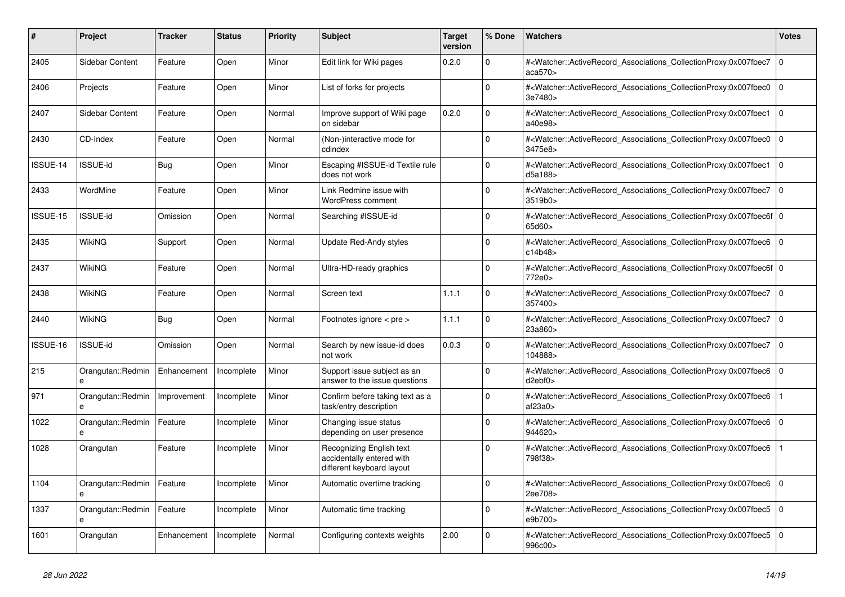| #        | <b>Project</b>         | Tracker     | <b>Status</b> | <b>Priority</b> | <b>Subject</b>                                                                     | <b>Target</b><br>version | % Done      | <b>Watchers</b>                                                                                                                                           | <b>Votes</b>   |
|----------|------------------------|-------------|---------------|-----------------|------------------------------------------------------------------------------------|--------------------------|-------------|-----------------------------------------------------------------------------------------------------------------------------------------------------------|----------------|
| 2405     | Sidebar Content        | Feature     | Open          | Minor           | Edit link for Wiki pages                                                           | 0.2.0                    | $\Omega$    | # <watcher::activerecord_associations_collectionproxy:0x007fbec7<br>aca570</watcher::activerecord_associations_collectionproxy:0x007fbec7<br>             | $\overline{0}$ |
| 2406     | Projects               | Feature     | Open          | Minor           | List of forks for projects                                                         |                          | $\Omega$    | # <watcher::activerecord_associations_collectionproxy:0x007fbec0<br>3e7480&gt;</watcher::activerecord_associations_collectionproxy:0x007fbec0<br>         | $\Omega$       |
| 2407     | Sidebar Content        | Feature     | Open          | Normal          | Improve support of Wiki page<br>on sidebar                                         | 0.2.0                    | $\mathbf 0$ | # <watcher::activerecord_associations_collectionproxy:0x007fbec1<br>a40e98&gt;</watcher::activerecord_associations_collectionproxy:0x007fbec1<br>         | l o            |
| 2430     | CD-Index               | Feature     | Open          | Normal          | (Non-)interactive mode for<br>cdindex                                              |                          | $\Omega$    | # <watcher::activerecord associations="" collectionproxy:0x007fbec0<br="">3475e8&gt;</watcher::activerecord>                                              | $\Omega$       |
| ISSUE-14 | <b>ISSUE-id</b>        | Bug         | Open          | Minor           | Escaping #ISSUE-id Textile rule<br>does not work                                   |                          | $\Omega$    | # <watcher::activerecord associations="" collectionproxy:0x007fbec1<br="">d5a188&gt;</watcher::activerecord>                                              | $\overline{0}$ |
| 2433     | WordMine               | Feature     | Open          | Minor           | Link Redmine issue with<br><b>WordPress comment</b>                                |                          | $\mathbf 0$ | # <watcher::activerecord_associations_collectionproxy:0x007fbec7<br>3519b0</watcher::activerecord_associations_collectionproxy:0x007fbec7<br>             | $\overline{0}$ |
| ISSUE-15 | <b>ISSUE-id</b>        | Omission    | Open          | Normal          | Searching #ISSUE-id                                                                |                          | $\Omega$    | # <watcher::activerecord_associations_collectionproxy:0x007fbec6f 0<br=""  ="">65d60&gt;</watcher::activerecord_associations_collectionproxy:0x007fbec6f> |                |
| 2435     | WikiNG                 | Support     | Open          | Normal          | Update Red-Andy styles                                                             |                          | $\Omega$    | # <watcher::activerecord 0<br="" associations="" collectionproxy:0x007fbec6=""  ="">c14b48&gt;</watcher::activerecord>                                    |                |
| 2437     | WikiNG                 | Feature     | Open          | Normal          | Ultra-HD-ready graphics                                                            |                          | $\Omega$    | # <watcher::activerecord 0<br="" associations="" collectionproxy:0x007fbec6f=""  ="">772e0&gt;</watcher::activerecord>                                    |                |
| 2438     | WikiNG                 | Feature     | Open          | Normal          | Screen text                                                                        | 1.1.1                    | $\Omega$    | # <watcher::activerecord_associations_collectionproxy:0x007fbec7<br>357400&gt;</watcher::activerecord_associations_collectionproxy:0x007fbec7<br>         | $\overline{0}$ |
| 2440     | WikiNG                 | Bug         | Open          | Normal          | Footnotes ignore < pre >                                                           | 1.1.1                    | $\mathbf 0$ | # <watcher::activerecord_associations_collectionproxy:0x007fbec7<br>23a860&gt;</watcher::activerecord_associations_collectionproxy:0x007fbec7<br>         | l O            |
| ISSUE-16 | <b>ISSUE-id</b>        | Omission    | Open          | Normal          | Search by new issue-id does<br>not work                                            | 0.0.3                    | $\Omega$    | # <watcher::activerecord associations="" collectionproxy:0x007fbec7<br="">104888&gt;</watcher::activerecord>                                              | l O            |
| 215      | Orangutan::Redmin<br>e | Enhancement | Incomplete    | Minor           | Support issue subject as an<br>answer to the issue questions                       |                          | $\Omega$    | # <watcher::activerecord associations="" collectionproxy:0x007fbec6<br="">d2ebf0</watcher::activerecord>                                                  | $\Omega$       |
| 971      | Orangutan::Redmin<br>e | Improvement | Incomplete    | Minor           | Confirm before taking text as a<br>task/entry description                          |                          | $\Omega$    | # <watcher::activerecord associations="" collectionproxy:0x007fbec6<br="">af23a0&gt;</watcher::activerecord>                                              |                |
| 1022     | Orangutan::Redmin<br>e | Feature     | Incomplete    | Minor           | Changing issue status<br>depending on user presence                                |                          | $\Omega$    | # <watcher::activerecord_associations_collectionproxy:0x007fbec6<br>944620&gt;</watcher::activerecord_associations_collectionproxy:0x007fbec6<br>         | $\Omega$       |
| 1028     | Orangutan              | Feature     | Incomplete    | Minor           | Recognizing English text<br>accidentally entered with<br>different keyboard layout |                          | $\Omega$    | # <watcher::activerecord_associations_collectionproxy:0x007fbec6<br>798f38&gt;</watcher::activerecord_associations_collectionproxy:0x007fbec6<br>         |                |
| 1104     | Orangutan::Redmin      | Feature     | Incomplete    | Minor           | Automatic overtime tracking                                                        |                          | $\Omega$    | # <watcher::activerecord_associations_collectionproxy:0x007fbec6 0<br=""  ="">2ee708&gt;</watcher::activerecord_associations_collectionproxy:0x007fbec6>  |                |
| 1337     | Orangutan::Redmin<br>e | Feature     | Incomplete    | Minor           | Automatic time tracking                                                            |                          | $\Omega$    | # <watcher::activerecord_associations_collectionproxy:0x007fbec5 0<br=""  ="">e9b700&gt;</watcher::activerecord_associations_collectionproxy:0x007fbec5>  |                |
| 1601     | Orangutan              | Enhancement | Incomplete    | Normal          | Configuring contexts weights                                                       | 2.00                     | $\Omega$    | # <watcher::activerecord associations="" collectionproxy:0x007fbec5<br="">996c00&gt;</watcher::activerecord>                                              | l O            |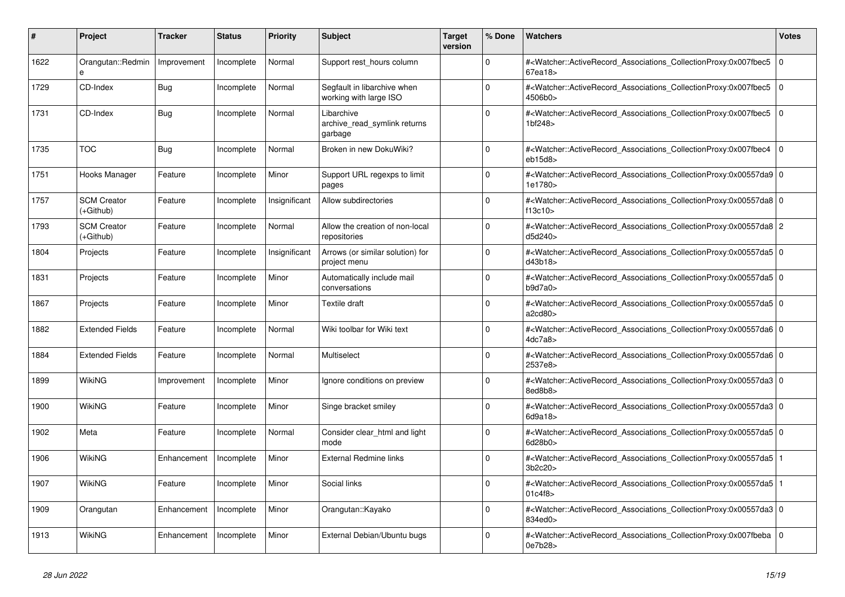| #    | <b>Project</b>                  | Tracker     | <b>Status</b> | <b>Priority</b> | <b>Subject</b>                                        | <b>Target</b><br>version | % Done      | <b>Watchers</b>                                                                                                                                          | <b>Votes</b>   |
|------|---------------------------------|-------------|---------------|-----------------|-------------------------------------------------------|--------------------------|-------------|----------------------------------------------------------------------------------------------------------------------------------------------------------|----------------|
| 1622 | Orangutan::Redmin<br>e          | Improvement | Incomplete    | Normal          | Support rest hours column                             |                          | $\Omega$    | # <watcher::activerecord_associations_collectionproxy:0x007fbec5<br>67ea18&gt;</watcher::activerecord_associations_collectionproxy:0x007fbec5<br>        | $\overline{0}$ |
| 1729 | CD-Index                        | Bug         | Incomplete    | Normal          | Segfault in libarchive when<br>working with large ISO |                          | $\Omega$    | # <watcher::activerecord_associations_collectionproxy:0x007fbec5<br>4506b0&gt;</watcher::activerecord_associations_collectionproxy:0x007fbec5<br>        | $\overline{0}$ |
| 1731 | CD-Index                        | <b>Bug</b>  | Incomplete    | Normal          | Libarchive<br>archive read symlink returns<br>garbage |                          | $\Omega$    | # <watcher::activerecord_associations_collectionproxy:0x007fbec5 0<br=""  ="">1bf248&gt;</watcher::activerecord_associations_collectionproxy:0x007fbec5> |                |
| 1735 | <b>TOC</b>                      | Bug         | Incomplete    | Normal          | Broken in new DokuWiki?                               |                          | $\Omega$    | # <watcher::activerecord_associations_collectionproxy:0x007fbec4<br>eb15d8</watcher::activerecord_associations_collectionproxy:0x007fbec4<br>            | l o            |
| 1751 | Hooks Manager                   | Feature     | Incomplete    | Minor           | Support URL regexps to limit<br>pages                 |                          | $\Omega$    | # <watcher::activerecord 0<br="" associations="" collectionproxy:0x00557da9=""  ="">1e1780&gt;</watcher::activerecord>                                   |                |
| 1757 | <b>SCM Creator</b><br>(+Github) | Feature     | Incomplete    | Insignificant   | Allow subdirectories                                  |                          | $\Omega$    | # <watcher::activerecord_associations_collectionproxy:0x00557da8 0<br=""  ="">f13c10&gt;</watcher::activerecord_associations_collectionproxy:0x00557da8> |                |
| 1793 | <b>SCM Creator</b><br>(+Github) | Feature     | Incomplete    | Normal          | Allow the creation of non-local<br>repositories       |                          | $\Omega$    | # <watcher::activerecord_associations_collectionproxy:0x00557da8 2<br="">d5d240&gt;</watcher::activerecord_associations_collectionproxy:0x00557da8>      |                |
| 1804 | Projects                        | Feature     | Incomplete    | Insignificant   | Arrows (or similar solution) for<br>project menu      |                          | $\Omega$    | # <watcher::activerecord_associations_collectionproxy:0x00557da5 0<br=""  ="">d43b18&gt;</watcher::activerecord_associations_collectionproxy:0x00557da5> |                |
| 1831 | Projects                        | Feature     | Incomplete    | Minor           | Automatically include mail<br>conversations           |                          | $\mathbf 0$ | # <watcher::activerecord_associations_collectionproxy:0x00557da5 0<br=""  ="">b9d7a0</watcher::activerecord_associations_collectionproxy:0x00557da5>     |                |
| 1867 | Projects                        | Feature     | Incomplete    | Minor           | Textile draft                                         |                          | $\Omega$    | # <watcher::activerecord_associations_collectionproxy:0x00557da5 0<br=""  ="">a2cd80</watcher::activerecord_associations_collectionproxy:0x00557da5>     |                |
| 1882 | <b>Extended Fields</b>          | Feature     | Incomplete    | Normal          | Wiki toolbar for Wiki text                            |                          | $\Omega$    | # <watcher::activerecord 0<br="" associations="" collectionproxy:0x00557da6=""  ="">4dc7a8</watcher::activerecord>                                       |                |
| 1884 | <b>Extended Fields</b>          | Feature     | Incomplete    | Normal          | Multiselect                                           |                          | $\mathbf 0$ | # <watcher::activerecord_associations_collectionproxy:0x00557da6 0<br=""  ="">2537e8&gt;</watcher::activerecord_associations_collectionproxy:0x00557da6> |                |
| 1899 | WikiNG                          | Improvement | Incomplete    | Minor           | Ignore conditions on preview                          |                          | $\Omega$    | # <watcher::activerecord_associations_collectionproxy:0x00557da3 0<br=""  ="">8ed8b8&gt;</watcher::activerecord_associations_collectionproxy:0x00557da3> |                |
| 1900 | WikiNG                          | Feature     | Incomplete    | Minor           | Singe bracket smiley                                  |                          | $\Omega$    | # <watcher::activerecord_associations_collectionproxy:0x00557da3 0<br="">6d9a18&gt;</watcher::activerecord_associations_collectionproxy:0x00557da3>      |                |
| 1902 | Meta                            | Feature     | Incomplete    | Normal          | Consider clear html and light<br>mode                 |                          | $\mathbf 0$ | # <watcher::activerecord_associations_collectionproxy:0x00557da5 0<br=""  ="">6d28b0&gt;</watcher::activerecord_associations_collectionproxy:0x00557da5> |                |
| 1906 | WikiNG                          | Enhancement | Incomplete    | Minor           | <b>External Redmine links</b>                         |                          | $\Omega$    | # <watcher::activerecord_associations_collectionproxy:0x00557da5 1<br=""  ="">3b2c20</watcher::activerecord_associations_collectionproxy:0x00557da5>     |                |
| 1907 | WikiNG                          | Feature     | Incomplete    | Minor           | Social links                                          |                          | $\Omega$    | # <watcher::activerecord 1<br="" associations="" collectionproxy:0x00557da5=""  ="">01c4f8&gt;</watcher::activerecord>                                   |                |
| 1909 | Orangutan                       | Enhancement | Incomplete    | Minor           | Orangutan::Kayako                                     |                          | $\Omega$    | # <watcher::activerecord_associations_collectionproxy:0x00557da3 0<br=""  ="">834ed0&gt;</watcher::activerecord_associations_collectionproxy:0x00557da3> |                |
| 1913 | WikiNG                          | Enhancement | Incomplete    | Minor           | External Debian/Ubuntu bugs                           |                          | $\Omega$    | # <watcher::activerecord_associations_collectionproxy:0x007fbeba<br>0e7b28&gt;</watcher::activerecord_associations_collectionproxy:0x007fbeba<br>        | $\Omega$       |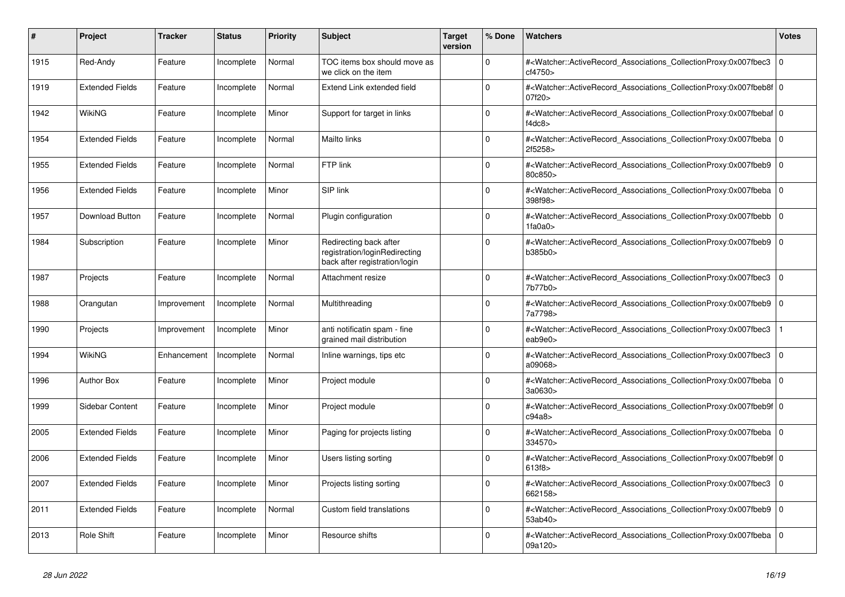| #    | Project                | <b>Tracker</b> | <b>Status</b> | <b>Priority</b> | <b>Subject</b>                                                                           | <b>Target</b><br>version | % Done      | <b>Watchers</b>                                                                                                                                                        | <b>Votes</b> |
|------|------------------------|----------------|---------------|-----------------|------------------------------------------------------------------------------------------|--------------------------|-------------|------------------------------------------------------------------------------------------------------------------------------------------------------------------------|--------------|
| 1915 | Red-Andy               | Feature        | Incomplete    | Normal          | TOC items box should move as<br>we click on the item                                     |                          | $\Omega$    | # <watcher::activerecord_associations_collectionproxy:0x007fbec3<br>cf4750&gt;</watcher::activerecord_associations_collectionproxy:0x007fbec3<br>                      | $\Omega$     |
| 1919 | <b>Extended Fields</b> | Feature        | Incomplete    | Normal          | Extend Link extended field                                                               |                          | $\Omega$    | # <watcher::activerecord_associations_collectionproxy:0x007fbeb8f 0<br=""  ="">07f20&gt;</watcher::activerecord_associations_collectionproxy:0x007fbeb8f>              |              |
| 1942 | WikiNG                 | Feature        | Incomplete    | Minor           | Support for target in links                                                              |                          | $\Omega$    | # <watcher::activerecord_associations_collectionproxy:0x007fbebaf 0<br=""  ="">f4dc8<math>&gt;</math></watcher::activerecord_associations_collectionproxy:0x007fbebaf> |              |
| 1954 | <b>Extended Fields</b> | Feature        | Incomplete    | Normal          | Mailto links                                                                             |                          | $\Omega$    | # <watcher::activerecord_associations_collectionproxy:0x007fbeba  <br="">2f5258&gt;</watcher::activerecord_associations_collectionproxy:0x007fbeba>                    | $\Omega$     |
| 1955 | <b>Extended Fields</b> | Feature        | Incomplete    | Normal          | FTP link                                                                                 |                          | $\Omega$    | # <watcher::activerecord_associations_collectionproxy:0x007fbeb9<br>80c850&gt;</watcher::activerecord_associations_collectionproxy:0x007fbeb9<br>                      | $\mathbf 0$  |
| 1956 | <b>Extended Fields</b> | Feature        | Incomplete    | Minor           | SIP link                                                                                 |                          | $\Omega$    | # <watcher::activerecord_associations_collectionproxy:0x007fbeba 0<br=""  ="">398f98&gt;</watcher::activerecord_associations_collectionproxy:0x007fbeba>               |              |
| 1957 | Download Button        | Feature        | Incomplete    | Normal          | Plugin configuration                                                                     |                          | $\Omega$    | # <watcher::activerecord associations="" collectionproxy:0x007fbebb<br="">1fa0a0&gt;</watcher::activerecord>                                                           | $\mathbf 0$  |
| 1984 | Subscription           | Feature        | Incomplete    | Minor           | Redirecting back after<br>registration/loginRedirecting<br>back after registration/login |                          | $\Omega$    | # <watcher::activerecord_associations_collectionproxy:0x007fbeb9  <br="">b385b0</watcher::activerecord_associations_collectionproxy:0x007fbeb9>                        | $\mathbf 0$  |
| 1987 | Projects               | Feature        | Incomplete    | Normal          | Attachment resize                                                                        |                          | $\Omega$    | # <watcher::activerecord_associations_collectionproxy:0x007fbec3  <br="">7b77b0&gt;</watcher::activerecord_associations_collectionproxy:0x007fbec3>                    | $\mathbf 0$  |
| 1988 | Orangutan              | Improvement    | Incomplete    | Normal          | Multithreading                                                                           |                          | $\Omega$    | # <watcher::activerecord_associations_collectionproxy:0x007fbeb9<br>7a7798&gt;</watcher::activerecord_associations_collectionproxy:0x007fbeb9<br>                      | $\Omega$     |
| 1990 | Projects               | Improvement    | Incomplete    | Minor           | anti notificatin spam - fine<br>grained mail distribution                                |                          | $\Omega$    | # <watcher::activerecord associations="" collectionproxy:0x007fbec3<br="">eab9e0&gt;</watcher::activerecord>                                                           |              |
| 1994 | <b>WikiNG</b>          | Enhancement    | Incomplete    | Normal          | Inline warnings, tips etc                                                                |                          | $\Omega$    | # <watcher::activerecord associations="" collectionproxy:0x007fbec3<br="">a09068&gt;</watcher::activerecord>                                                           | $\mathbf 0$  |
| 1996 | <b>Author Box</b>      | Feature        | Incomplete    | Minor           | Project module                                                                           |                          | $\Omega$    | # <watcher::activerecord_associations_collectionproxy:0x007fbeba  <br="">3a0630&gt;</watcher::activerecord_associations_collectionproxy:0x007fbeba>                    | $\mathbf 0$  |
| 1999 | Sidebar Content        | Feature        | Incomplete    | Minor           | Project module                                                                           |                          | $\Omega$    | # <watcher::activerecord 0<br="" associations="" collectionproxy:0x007fbeb9f=""  ="">c94a8</watcher::activerecord>                                                     |              |
| 2005 | <b>Extended Fields</b> | Feature        | Incomplete    | Minor           | Paging for projects listing                                                              |                          | $\Omega$    | # <watcher::activerecord 0<br="" associations="" collectionproxy:0x007fbeba=""  ="">334570&gt;</watcher::activerecord>                                                 |              |
| 2006 | <b>Extended Fields</b> | Feature        | Incomplete    | Minor           | Users listing sorting                                                                    |                          | $\mathbf 0$ | # <watcher::activerecord_associations_collectionproxy:0x007fbeb9f 0<br=""  ="">613f8&gt;</watcher::activerecord_associations_collectionproxy:0x007fbeb9f>              |              |
| 2007 | <b>Extended Fields</b> | Feature        | Incomplete    | Minor           | Projects listing sorting                                                                 |                          | $\Omega$    | # <watcher::activerecord_associations_collectionproxy:0x007fbec3 0<br="">662158&gt;</watcher::activerecord_associations_collectionproxy:0x007fbec3>                    |              |
| 2011 | <b>Extended Fields</b> | Feature        | Incomplete    | Normal          | Custom field translations                                                                |                          | $\Omega$    | # <watcher::activerecord associations="" collectionproxy:0x007fbeb9<br="">53ab40&gt;</watcher::activerecord>                                                           | $\mathbf 0$  |
| 2013 | <b>Role Shift</b>      | Feature        | Incomplete    | Minor           | Resource shifts                                                                          |                          | $\Omega$    | # <watcher::activerecord_associations_collectionproxy:0x007fbeba  <br="">09a120&gt;</watcher::activerecord_associations_collectionproxy:0x007fbeba>                    | $\mathbf 0$  |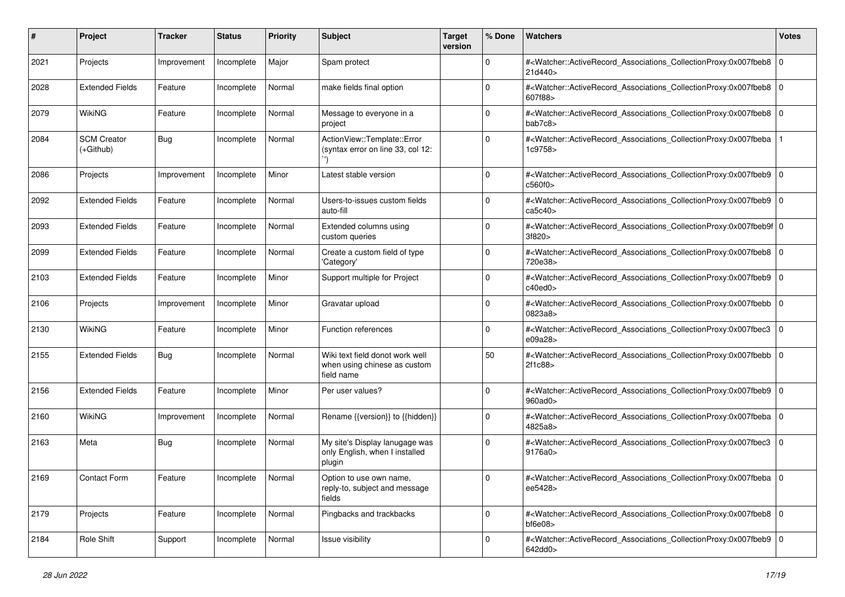| #    | Project                           | Tracker     | <b>Status</b> | <b>Priority</b> | <b>Subject</b>                                                                | <b>Target</b><br>version | % Done      | Watchers                                                                                                                                                                      | <b>Votes</b> |
|------|-----------------------------------|-------------|---------------|-----------------|-------------------------------------------------------------------------------|--------------------------|-------------|-------------------------------------------------------------------------------------------------------------------------------------------------------------------------------|--------------|
| 2021 | Projects                          | Improvement | Incomplete    | Major           | Spam protect                                                                  |                          | $\mathbf 0$ | # <watcher::activerecord_associations_collectionproxy:0x007fbeb8 0<br="">21d440&gt;</watcher::activerecord_associations_collectionproxy:0x007fbeb8>                           |              |
| 2028 | <b>Extended Fields</b>            | Feature     | Incomplete    | Normal          | make fields final option                                                      |                          | $\Omega$    | # <watcher::activerecord_associations_collectionproxy:0x007fbeb8 0<br="">607f88&gt;</watcher::activerecord_associations_collectionproxy:0x007fbeb8>                           |              |
| 2079 | <b>WikiNG</b>                     | Feature     | Incomplete    | Normal          | Message to everyone in a<br>project                                           |                          | $\Omega$    | # <watcher::activerecord_associations_collectionproxy:0x007fbeb8 0<br="">bab7c8&gt;</watcher::activerecord_associations_collectionproxy:0x007fbeb8>                           |              |
| 2084 | <b>SCM Creator</b><br>$(+Github)$ | Bug         | Incomplete    | Normal          | ActionView::Template::Error<br>(syntax error on line 33, col 12:              |                          | $\Omega$    | # <watcher::activerecord_associations_collectionproxy:0x007fbeba<br>1c9758&gt;</watcher::activerecord_associations_collectionproxy:0x007fbeba<br>                             |              |
| 2086 | Projects                          | Improvement | Incomplete    | Minor           | Latest stable version                                                         |                          | $\mathbf 0$ | # <watcher::activerecord_associations_collectionproxy:0x007fbeb9<br>c560f0&gt;</watcher::activerecord_associations_collectionproxy:0x007fbeb9<br>                             | 0            |
| 2092 | <b>Extended Fields</b>            | Feature     | Incomplete    | Normal          | Users-to-issues custom fields<br>auto-fill                                    |                          | $\Omega$    | # <watcher::activerecord_associations_collectionproxy:0x007fbeb9 0<br=""  ="">ca5c40&gt;</watcher::activerecord_associations_collectionproxy:0x007fbeb9>                      |              |
| 2093 | <b>Extended Fields</b>            | Feature     | Incomplete    | Normal          | Extended columns using<br>custom queries                                      |                          | $\Omega$    | # <watcher::activerecord_associations_collectionproxy:0x007fbeb9f 0<br=""  ="">3f820&gt;</watcher::activerecord_associations_collectionproxy:0x007fbeb9f>                     |              |
| 2099 | <b>Extended Fields</b>            | Feature     | Incomplete    | Normal          | Create a custom field of type<br>'Category'                                   |                          | $\Omega$    | # <watcher::activerecord_associations_collectionproxy:0x007fbeb8 0<br=""  ="">720e38&gt;</watcher::activerecord_associations_collectionproxy:0x007fbeb8>                      |              |
| 2103 | <b>Extended Fields</b>            | Feature     | Incomplete    | Minor           | Support multiple for Project                                                  |                          | $\mathbf 0$ | # <watcher::activerecord_associations_collectionproxy:0x007fbeb9  <br="">c40ed0</watcher::activerecord_associations_collectionproxy:0x007fbeb9>                               | $\mathbf 0$  |
| 2106 | Projects                          | Improvement | Incomplete    | Minor           | Gravatar upload                                                               |                          | $\Omega$    | # <watcher::activerecord_associations_collectionproxy:0x007fbebb  <br="">0823a8&gt;</watcher::activerecord_associations_collectionproxy:0x007fbebb>                           | $\mathbf 0$  |
| 2130 | <b>WikiNG</b>                     | Feature     | Incomplete    | Minor           | Function references                                                           |                          | $\Omega$    | # <watcher::activerecord_associations_collectionproxy:0x007fbec3 0<br=""  ="">e09a28&gt;</watcher::activerecord_associations_collectionproxy:0x007fbec3>                      |              |
| 2155 | <b>Extended Fields</b>            | Bug         | Incomplete    | Normal          | Wiki text field donot work well<br>when using chinese as custom<br>field name |                          | 50          | # <watcher::activerecord_associations_collectionproxy:0x007fbebb  <br="">2f1c88&gt;</watcher::activerecord_associations_collectionproxy:0x007fbebb>                           | $\mathbf 0$  |
| 2156 | <b>Extended Fields</b>            | Feature     | Incomplete    | Minor           | Per user values?                                                              |                          | $\Omega$    | # <watcher::activerecord_associations_collectionproxy:0x007fbeb9  <br="">960ad0&gt;</watcher::activerecord_associations_collectionproxy:0x007fbeb9>                           | $\mathbf 0$  |
| 2160 | <b>WikiNG</b>                     | Improvement | Incomplete    | Normal          | Rename {{version}} to {{hidden}}                                              |                          | $\Omega$    | # <watcher::activerecord_associations_collectionproxy:0x007fbeba 0<br=""  ="">4825a8&gt;</watcher::activerecord_associations_collectionproxy:0x007fbeba>                      |              |
| 2163 | Meta                              | Bug         | Incomplete    | Normal          | My site's Display lanugage was<br>only English, when I installed<br>plugin    |                          | $\Omega$    | # <watcher::activerecord_associations_collectionproxy:0x007fbec3 0<br="">9176a0</watcher::activerecord_associations_collectionproxy:0x007fbec3>                               |              |
| 2169 | Contact Form                      | Feature     | Incomplete    | Normal          | Option to use own name,<br>reply-to, subject and message<br>fields            |                          |             | # <watcher::activerecord_associations_collectionproxy:0x007fbeba 0<br=""  ="">ee5428&gt;</watcher::activerecord_associations_collectionproxy:0x007fbeba>                      |              |
| 2179 | Projects                          | Feature     | Incomplete    | Normal          | Pingbacks and trackbacks                                                      |                          | $\mathbf 0$ | # <watcher::activerecord_associations_collectionproxy:0x007fbeb8 0<br=""><math>b</math>f6e08<math>&gt;</math></watcher::activerecord_associations_collectionproxy:0x007fbeb8> |              |
| 2184 | Role Shift                        | Support     | Incomplete    | Normal          | Issue visibility                                                              |                          | 0           | # <watcher::activerecord_associations_collectionproxy:0x007fbeb9 0<br=""  ="">642dd0&gt;</watcher::activerecord_associations_collectionproxy:0x007fbeb9>                      |              |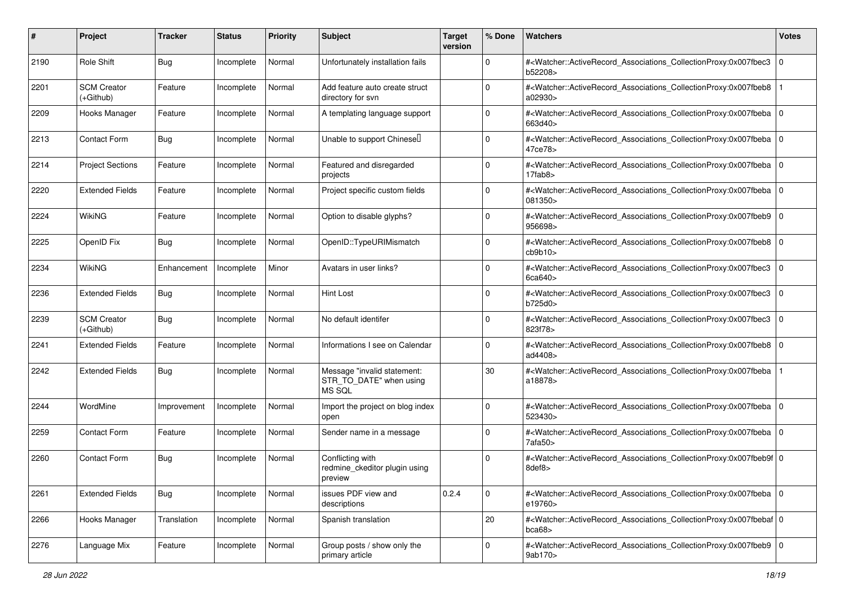| #    | Project                         | <b>Tracker</b> | <b>Status</b> | <b>Priority</b> | <b>Subject</b>                                                          | <b>Target</b><br>version | % Done      | Watchers                                                                                                                                                  | <b>Votes</b> |
|------|---------------------------------|----------------|---------------|-----------------|-------------------------------------------------------------------------|--------------------------|-------------|-----------------------------------------------------------------------------------------------------------------------------------------------------------|--------------|
| 2190 | Role Shift                      | <b>Bug</b>     | Incomplete    | Normal          | Unfortunately installation fails                                        |                          | $\mathbf 0$ | # <watcher::activerecord_associations_collectionproxy:0x007fbec3<br>b52208&gt;</watcher::activerecord_associations_collectionproxy:0x007fbec3<br>         | $\mathbf 0$  |
| 2201 | <b>SCM Creator</b><br>(+Github) | Feature        | Incomplete    | Normal          | Add feature auto create struct<br>directory for svn                     |                          | $\Omega$    | # <watcher::activerecord_associations_collectionproxy:0x007fbeb8<br>a02930&gt;</watcher::activerecord_associations_collectionproxy:0x007fbeb8<br>         |              |
| 2209 | Hooks Manager                   | Feature        | Incomplete    | Normal          | A templating language support                                           |                          | $\Omega$    | # <watcher::activerecord_associations_collectionproxy:0x007fbeba 0<br=""  ="">663d40&gt;</watcher::activerecord_associations_collectionproxy:0x007fbeba>  |              |
| 2213 | <b>Contact Form</b>             | <b>Bug</b>     | Incomplete    | Normal          | Unable to support Chinesel                                              |                          | $\mathbf 0$ | # <watcher::activerecord_associations_collectionproxy:0x007fbeba 0<br="">47ce78&gt;</watcher::activerecord_associations_collectionproxy:0x007fbeba>       |              |
| 2214 | <b>Project Sections</b>         | Feature        | Incomplete    | Normal          | Featured and disregarded<br>projects                                    |                          | $\Omega$    | # <watcher::activerecord_associations_collectionproxy:0x007fbeba 0<br=""  ="">17fab8</watcher::activerecord_associations_collectionproxy:0x007fbeba>      |              |
| 2220 | <b>Extended Fields</b>          | Feature        | Incomplete    | Normal          | Project specific custom fields                                          |                          | $\Omega$    | # <watcher::activerecord_associations_collectionproxy:0x007fbeba  <br="">081350&gt;</watcher::activerecord_associations_collectionproxy:0x007fbeba>       | $\mathbf 0$  |
| 2224 | WikiNG                          | Feature        | Incomplete    | Normal          | Option to disable glyphs?                                               |                          | $\Omega$    | # <watcher::activerecord_associations_collectionproxy:0x007fbeb9  <br="">956698&gt;</watcher::activerecord_associations_collectionproxy:0x007fbeb9>       | $\mathbf 0$  |
| 2225 | OpenID Fix                      | Bug            | Incomplete    | Normal          | OpenID::TypeURIMismatch                                                 |                          | $\mathbf 0$ | # <watcher::activerecord_associations_collectionproxy:0x007fbeb8 0<br="">cb9b10</watcher::activerecord_associations_collectionproxy:0x007fbeb8>           |              |
| 2234 | WikiNG                          | Enhancement    | Incomplete    | Minor           | Avatars in user links?                                                  |                          | $\Omega$    | # <watcher::activerecord_associations_collectionproxy:0x007fbec3<br>6ca640</watcher::activerecord_associations_collectionproxy:0x007fbec3<br>             | 0            |
| 2236 | <b>Extended Fields</b>          | <b>Bug</b>     | Incomplete    | Normal          | Hint Lost                                                               |                          | $\Omega$    | # <watcher::activerecord_associations_collectionproxy:0x007fbec3<br>b725d0&gt;</watcher::activerecord_associations_collectionproxy:0x007fbec3<br>         | $\mathbf 0$  |
| 2239 | <b>SCM Creator</b><br>(+Github) | <b>Bug</b>     | Incomplete    | Normal          | No default identifer                                                    |                          | $\Omega$    | # <watcher::activerecord_associations_collectionproxy:0x007fbec3<br>823f78&gt;</watcher::activerecord_associations_collectionproxy:0x007fbec3<br>         | $\mathbf 0$  |
| 2241 | <b>Extended Fields</b>          | Feature        | Incomplete    | Normal          | Informations I see on Calendar                                          |                          | $\Omega$    | # <watcher::activerecord_associations_collectionproxy:0x007fbeb8 0<br="">ad4408&gt;</watcher::activerecord_associations_collectionproxy:0x007fbeb8>       |              |
| 2242 | <b>Extended Fields</b>          | <b>Bug</b>     | Incomplete    | Normal          | Message "invalid statement:<br>STR_TO_DATE" when using<br><b>MS SQL</b> |                          | 30          | # <watcher::activerecord_associations_collectionproxy:0x007fbeba<br>a18878&gt;</watcher::activerecord_associations_collectionproxy:0x007fbeba<br>         |              |
| 2244 | WordMine                        | Improvement    | Incomplete    | Normal          | Import the project on blog index<br>open                                |                          | $\Omega$    | # <watcher::activerecord_associations_collectionproxy:0x007fbeba 0<br=""  ="">523430&gt;</watcher::activerecord_associations_collectionproxy:0x007fbeba>  |              |
| 2259 | <b>Contact Form</b>             | Feature        | Incomplete    | Normal          | Sender name in a message                                                |                          | $\mathbf 0$ | # <watcher::activerecord_associations_collectionproxy:0x007fbeba 0<br="">7afa50</watcher::activerecord_associations_collectionproxy:0x007fbeba>           |              |
| 2260 | <b>Contact Form</b>             | <b>Bug</b>     | Incomplete    | Normal          | Conflicting with<br>redmine_ckeditor plugin using<br>preview            |                          | $\mathbf 0$ | # <watcher::activerecord_associations_collectionproxy:0x007fbeb9f 0<br=""  ="">8def8&gt;</watcher::activerecord_associations_collectionproxy:0x007fbeb9f> |              |
| 2261 | <b>Extended Fields</b>          | Bug            | Incomplete    | Normal          | issues PDF view and<br>descriptions                                     | 0.2.4                    | $\mathbf 0$ | # <watcher::activerecord_associations_collectionproxy:0x007fbeba 0<br=""  ="">e19760&gt;</watcher::activerecord_associations_collectionproxy:0x007fbeba>  |              |
| 2266 | Hooks Manager                   | Translation    | Incomplete    | Normal          | Spanish translation                                                     |                          | 20          | # <watcher::activerecord_associations_collectionproxy:0x007fbebaf 0<br="">bca68</watcher::activerecord_associations_collectionproxy:0x007fbebaf>          |              |
| 2276 | Language Mix                    | Feature        | Incomplete    | Normal          | Group posts / show only the<br>primary article                          |                          | $\mathbf 0$ | # <watcher::activerecord_associations_collectionproxy:0x007fbeb9 0<br=""  ="">9ab170&gt;</watcher::activerecord_associations_collectionproxy:0x007fbeb9>  |              |